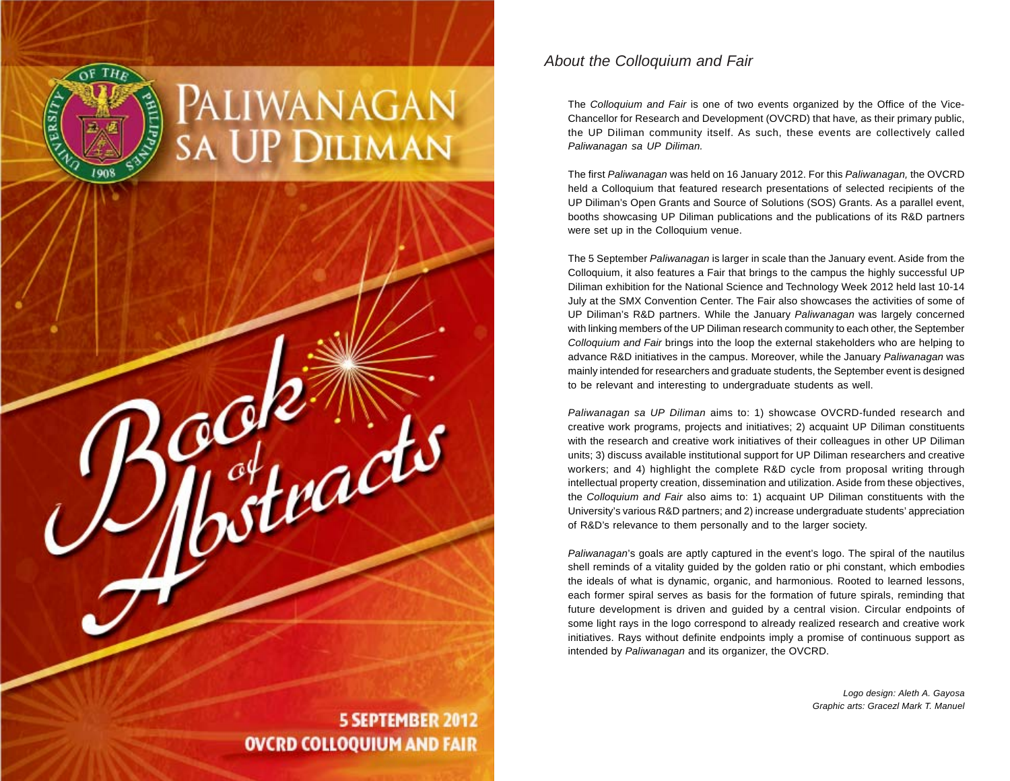

### *About the Colloquium and Fair*

The *Colloquium and Fair* is one of two events organized by the Office of the Vice-Chancellor for Research and Development (OVCRD) that have*,* as their primary public, the UP Diliman community itself. As such, these events are collectively called *Paliwanagan sa UP Diliman.*

The first *Paliwanagan* was held on 16 January 2012. For this *Paliwanagan,* the OVCRD held a Colloquium that featured research presentations of selected recipients of the UP Diliman's Open Grants and Source of Solutions (SOS) Grants. As a parallel event, booths showcasing UP Diliman publications and the publications of its R&D partners were set up in the Colloquium venue.

The 5 September *Paliwanagan* is larger in scale than the January event. Aside from the Colloquium, it also features a Fair that brings to the campus the highly successful UP Diliman exhibition for the National Science and Technology Week 2012 held last 10-14 July at the SMX Convention Center. The Fair also showcases the activities of some of UP Diliman's R&D partners. While the January *Paliwanagan* was largely concerned with linking members of the UP Diliman research community to each other, the September *Colloquium and Fair* brings into the loop the external stakeholders who are helping to advance R&D initiatives in the campus. Moreover, while the January *Paliwanagan* was mainly intended for researchers and graduate students, the September event is designed to be relevant and interesting to undergraduate students as well.

*Paliwanagan sa UP Diliman* aims to: 1) showcase OVCRD-funded research and creative work programs, projects and initiatives; 2) acquaint UP Diliman constituents with the research and creative work initiatives of their colleagues in other UP Diliman units; 3) discuss available institutional support for UP Diliman researchers and creative workers; and 4) highlight the complete R&D cycle from proposal writing through intellectual property creation, dissemination and utilization. Aside from these objectives, the *Colloquium and Fair* also aims to: 1) acquaint UP Diliman constituents with the University's various R&D partners; and 2) increase undergraduate students' appreciation of R&D's relevance to them personally and to the larger society.

*Paliwanagan*'s goals are aptly captured in the event's logo. The spiral of the nautilus shell reminds of a vitality guided by the golden ratio or phi constant, which embodies the ideals of what is dynamic, organic, and harmonious. Rooted to learned lessons, each former spiral serves as basis for the formation of future spirals, reminding that future development is driven and guided by a central vision. Circular endpoints of some light rays in the logo correspond to already realized research and creative work initiatives. Rays without definite endpoints imply a promise of continuous support as intended by *Paliwanagan* and its organizer, the OVCRD.

> *Logo design: Aleth A. Gayosa Graphic arts: Gracezl Mark T. Manuel*

# **OVCRD COLLOQUIUM AND FAIR**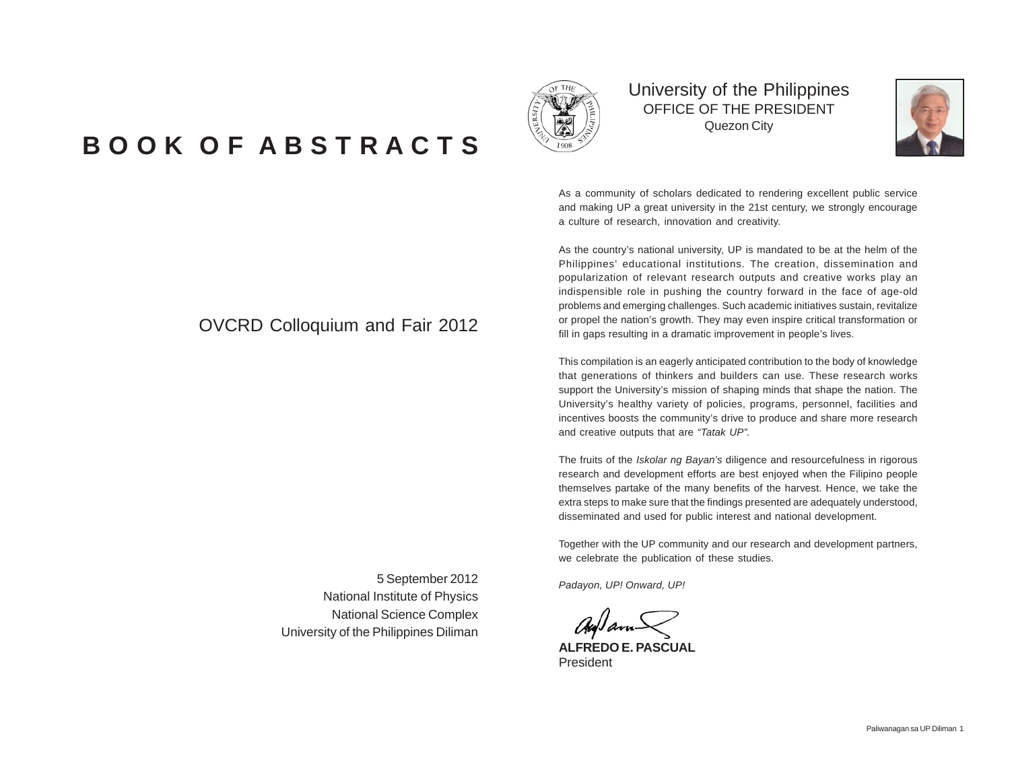# **B O O K O F A B S T R A C T S**

### OVCRD Colloquium and Fair 2012

5 September 2012

National Institute of Physics National Science Complex

University of the Philippines Diliman

University of the Philippines OFFICE OF THE PRESIDENT Quezon City



As a community of scholars dedicated to rendering excellent public service and making UP a great university in the 21st century, we strongly encourage a culture of research, innovation and creativity.

As the country's national university, UP is mandated to be at the helm of the Philippines' educational institutions. The creation, dissemination and popularization of relevant research outputs and creative works play an indispensible role in pushing the country forward in the face of age-old problems and emerging challenges. Such academic initiatives sustain, revitalize or propel the nation's growth. They may even inspire critical transformation or fill in gaps resulting in a dramatic improvement in people's lives.

This compilation is an eagerly anticipated contribution to the body of knowledge that generations of thinkers and builders can use. These research works support the University's mission of shaping minds that shape the nation. The University's healthy variety of policies, programs, personnel, facilities and incentives boosts the community's drive to produce and share more research and creative outputs that are *"Tatak UP".*

The fruits of the *Iskolar ng Bayan's* diligence and resourcefulness in rigorous research and development efforts are best enjoyed when the Filipino people themselves partake of the many benefits of the harvest. Hence, we take the extra steps to make sure that the findings presented are adequately understood, disseminated and used for public interest and national development.

Together with the UP community and our research and development partners, we celebrate the publication of these studies.

*Padayon, UP! Onward, UP!*

**ALFREDO E. PASCUAL** President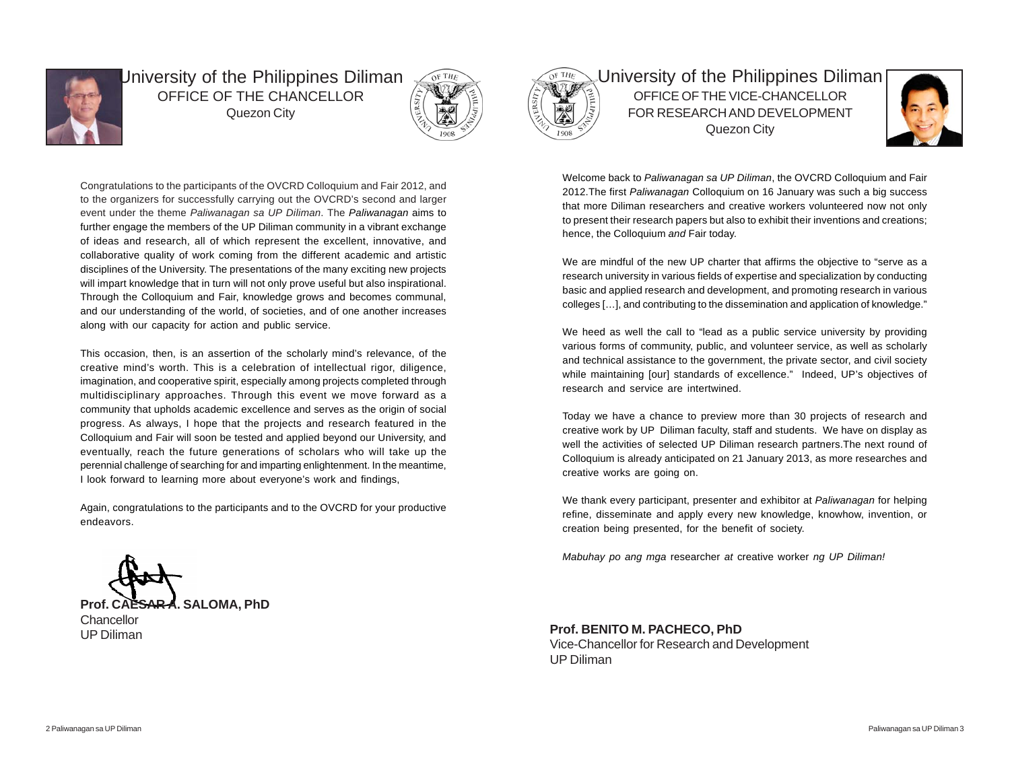

University of the Philippines Diliman OFFICE OF THE CHANCELLOR Quezon City



Congratulations to the participants of the OVCRD Colloquium and Fair 2012, and to the organizers for successfully carrying out the OVCRD's second and larger event under the theme *Paliwanagan sa UP Diliman*. The *Paliwanagan* aims to further engage the members of the UP Diliman community in a vibrant exchange of ideas and research, all of which represent the excellent, innovative, and collaborative quality of work coming from the different academic and artistic disciplines of the University. The presentations of the many exciting new projects will impart knowledge that in turn will not only prove useful but also inspirational. Through the Colloquium and Fair, knowledge grows and becomes communal, and our understanding of the world, of societies, and of one another increases along with our capacity for action and public service.

This occasion, then, is an assertion of the scholarly mind's relevance, of the creative mind's worth. This is a celebration of intellectual rigor, diligence, imagination, and cooperative spirit, especially among projects completed through multidisciplinary approaches. Through this event we move forward as a community that upholds academic excellence and serves as the origin of social progress. As always, I hope that the projects and research featured in the Colloquium and Fair will soon be tested and applied beyond our University, and eventually, reach the future generations of scholars who will take up the perennial challenge of searching for and imparting enlightenment. In the meantime, I look forward to learning more about everyone's work and findings,

Again, congratulations to the participants and to the OVCRD for your productive endeavors.



University of the Philippines Diliman OFFICE OF THE VICE-CHANCELLOR FOR RESEARCH AND DEVELOPMENT Quezon City



Welcome back to *Paliwanagan sa UP Diliman*, the OVCRD Colloquium and Fair 2012.The first *Paliwanagan* Colloquium on 16 January was such a big success that more Diliman researchers and creative workers volunteered now not only to present their research papers but also to exhibit their inventions and creations; hence, the Colloquium *and* Fair today.

We are mindful of the new UP charter that affirms the objective to "serve as a research university in various fields of expertise and specialization by conducting basic and applied research and development, and promoting research in various colleges […], and contributing to the dissemination and application of knowledge."

We heed as well the call to "lead as a public service university by providing various forms of community, public, and volunteer service, as well as scholarly and technical assistance to the government, the private sector, and civil society while maintaining [our] standards of excellence." Indeed, UP's objectives of research and service are intertwined.

Today we have a chance to preview more than 30 projects of research and creative work by UP Diliman faculty, staff and students. We have on display as well the activities of selected UP Diliman research partners.The next round of Colloquium is already anticipated on 21 January 2013, as more researches and creative works are going on.

We thank every participant, presenter and exhibitor at *Paliwanagan* for helping refine, disseminate and apply every new knowledge, knowhow, invention, or creation being presented, for the benefit of society.

*Mabuhay po ang mga* researcher *at* creative worker *ng UP Diliman!*

**Prof. CAESAR A. SALOMA, PhD Chancellor** UP Diliman

**Prof. BENITO M. PACHECO, PhD** Vice-Chancellor for Research and Development UP Diliman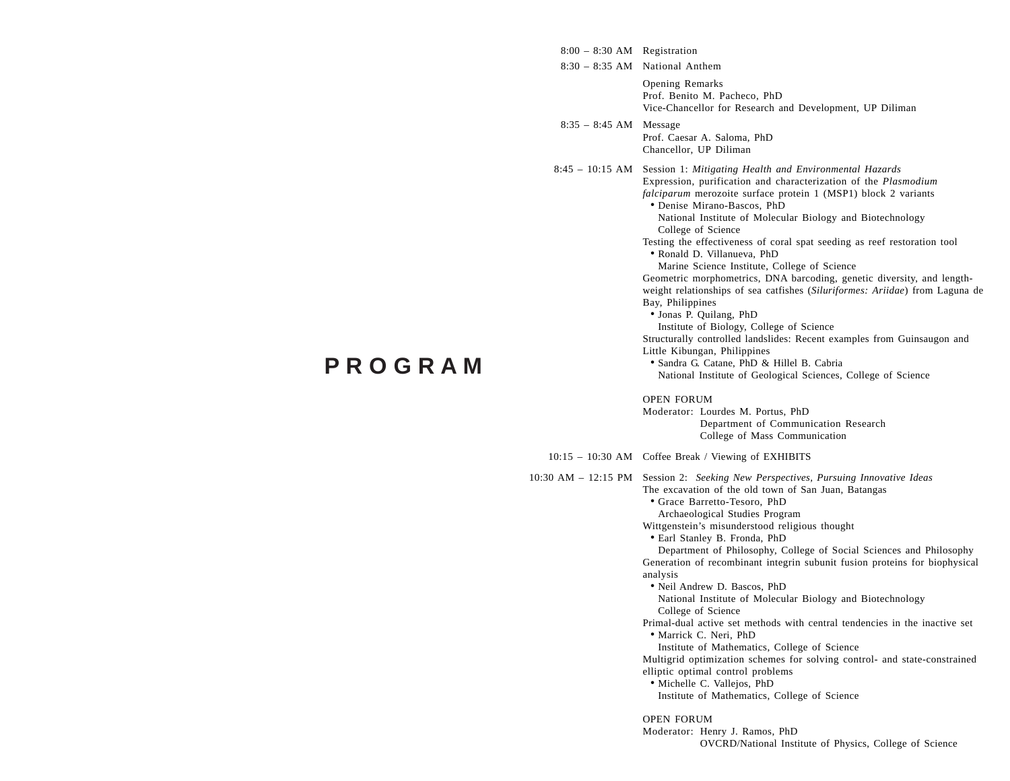| $8:00 - 8:30$ AM Registration |                                                                                                                                                                                                                                                                                                                                                                                                                                                                                                                                                                                                                                                                                                                                                                                                                                                                                                                                                                                                                                   |
|-------------------------------|-----------------------------------------------------------------------------------------------------------------------------------------------------------------------------------------------------------------------------------------------------------------------------------------------------------------------------------------------------------------------------------------------------------------------------------------------------------------------------------------------------------------------------------------------------------------------------------------------------------------------------------------------------------------------------------------------------------------------------------------------------------------------------------------------------------------------------------------------------------------------------------------------------------------------------------------------------------------------------------------------------------------------------------|
|                               | 8:30 - 8:35 AM National Anthem                                                                                                                                                                                                                                                                                                                                                                                                                                                                                                                                                                                                                                                                                                                                                                                                                                                                                                                                                                                                    |
|                               | <b>Opening Remarks</b><br>Prof. Benito M. Pacheco, PhD<br>Vice-Chancellor for Research and Development, UP Diliman                                                                                                                                                                                                                                                                                                                                                                                                                                                                                                                                                                                                                                                                                                                                                                                                                                                                                                                |
| $8:35 - 8:45$ AM Message      | Prof. Caesar A. Saloma, PhD<br>Chancellor, UP Diliman                                                                                                                                                                                                                                                                                                                                                                                                                                                                                                                                                                                                                                                                                                                                                                                                                                                                                                                                                                             |
|                               | 8:45 – 10:15 AM Session 1: Mitigating Health and Environmental Hazards<br>Expression, purification and characterization of the Plasmodium<br>falciparum merozoite surface protein 1 (MSP1) block 2 variants<br>• Denise Mirano-Bascos, PhD<br>National Institute of Molecular Biology and Biotechnology<br>College of Science<br>Testing the effectiveness of coral spat seeding as reef restoration tool<br>• Ronald D. Villanueva, PhD<br>Marine Science Institute, College of Science<br>Geometric morphometrics, DNA barcoding, genetic diversity, and length-<br>weight relationships of sea catfishes (Siluriformes: Ariidae) from Laguna de<br>Bay, Philippines<br>• Jonas P. Quilang, PhD<br>Institute of Biology, College of Science<br>Structurally controlled landslides: Recent examples from Guinsaugon and<br>Little Kibungan, Philippines<br>• Sandra G. Catane, PhD & Hillel B. Cabria<br>National Institute of Geological Sciences, College of Science<br><b>OPEN FORUM</b><br>Moderator: Lourdes M. Portus, PhD |
|                               | Department of Communication Research<br>College of Mass Communication                                                                                                                                                                                                                                                                                                                                                                                                                                                                                                                                                                                                                                                                                                                                                                                                                                                                                                                                                             |
|                               | 10:15 - 10:30 AM Coffee Break / Viewing of EXHIBITS                                                                                                                                                                                                                                                                                                                                                                                                                                                                                                                                                                                                                                                                                                                                                                                                                                                                                                                                                                               |
|                               | 10:30 AM – 12:15 PM Session 2: Seeking New Perspectives, Pursuing Innovative Ideas<br>The excavation of the old town of San Juan, Batangas<br>• Grace Barretto-Tesoro, PhD<br>Archaeological Studies Program<br>Wittgenstein's misunderstood religious thought<br>· Earl Stanley B. Fronda, PhD<br>Department of Philosophy, College of Social Sciences and Philosophy<br>Generation of recombinant integrin subunit fusion proteins for biophysical<br>analysis<br>• Neil Andrew D. Bascos, PhD<br>National Institute of Molecular Biology and Biotechnology<br>College of Science<br>Primal-dual active set methods with central tendencies in the inactive set<br>· Marrick C. Neri, PhD<br>Institute of Mathematics, College of Science<br>Multigrid optimization schemes for solving control- and state-constrained<br>elliptic optimal control problems<br>· Michelle C. Vallejos, PhD<br>Institute of Mathematics, College of Science<br><b>OPEN FORUM</b><br>Moderator: Henry J. Ramos, PhD                               |
|                               | OVCRD/National Institute of Physics, College of Science                                                                                                                                                                                                                                                                                                                                                                                                                                                                                                                                                                                                                                                                                                                                                                                                                                                                                                                                                                           |

# **P R O G R A M**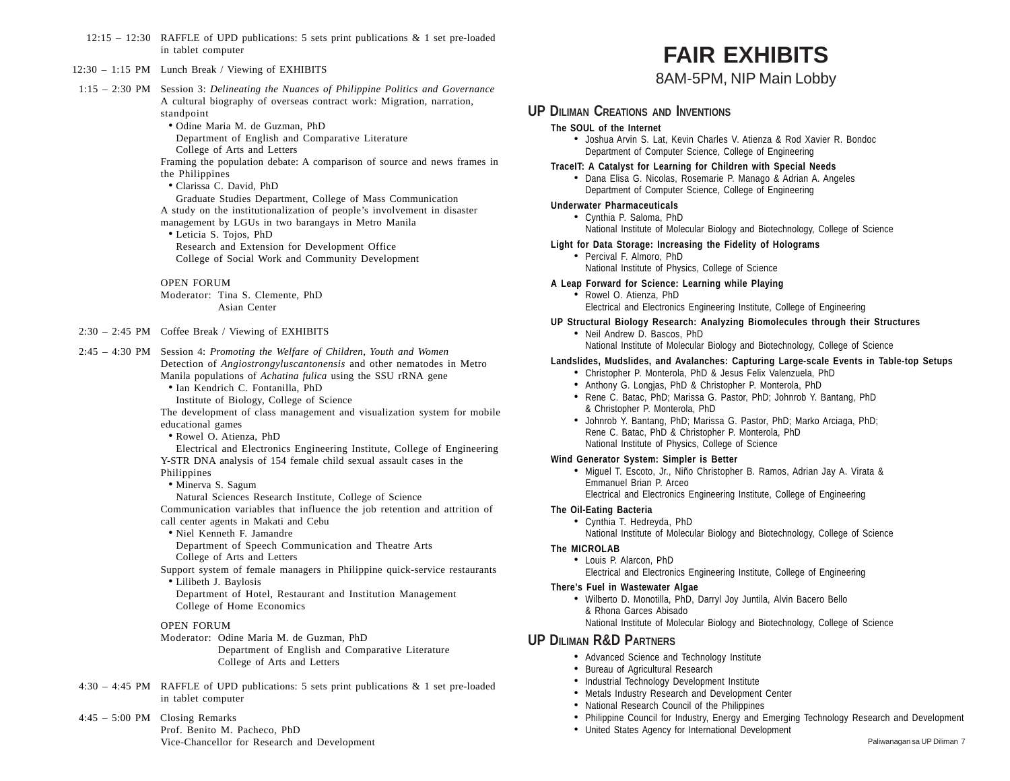12:15 – 12:30 RAFFLE of UPD publications: 5 sets print publications & 1 set pre-loaded in tablet computer

#### 12:30 – 1:15 PM Lunch Break / Viewing of EXHIBITS

- 1:15 2:30 PM Session 3: *Delineating the Nuances of Philippine Politics and Governance* A cultural biography of overseas contract work: Migration, narration, standpoint
	- Odine Maria M. de Guzman, PhD
	- Department of English and Comparative Literature College of Arts and Letters

Framing the population debate: A comparison of source and news frames in the Philippines

- Clarissa C. David, PhD
- Graduate Studies Department, College of Mass Communication A study on the institutionalization of people's involvement in disaster management by LGUs in two barangays in Metro Manila
- Leticia S. Tojos, PhD Research and Extension for Development Office College of Social Work and Community Development

#### OPEN FORUM

Moderator: Tina S. Clemente, PhD Asian Center

#### 2:30 – 2:45 PM Coffee Break / Viewing of EXHIBITS

2:45 – 4:30 PM Session 4: *Promoting the Welfare of Children, Youth and Women* Detection of *Angiostrongyluscantonensis* and other nematodes in Metro Manila populations of *Achatina fulica* using the SSU rRNA gene

• Ian Kendrich C. Fontanilla, PhD

Institute of Biology, College of Science

The development of class management and visualization system for mobile educational games

• Rowel O. Atienza, PhD

Electrical and Electronics Engineering Institute, College of Engineering Y-STR DNA analysis of 154 female child sexual assault cases in the Philippines

- Minerva S. Sagum
- Natural Sciences Research Institute, College of Science

Communication variables that influence the job retention and attrition of call center agents in Makati and Cebu

• Niel Kenneth F. Jamandre

Department of Speech Communication and Theatre Arts College of Arts and Letters

- Support system of female managers in Philippine quick-service restaurants • Lilibeth J. Baylosis
	- Department of Hotel, Restaurant and Institution Management College of Home Economics

#### OPEN FORUM

Moderator: Odine Maria M. de Guzman, PhD Department of English and Comparative Literature College of Arts and Letters

- 4:30 4:45 PM RAFFLE of UPD publications: 5 sets print publications & 1 set pre-loaded in tablet computer
- 4:45 5:00 PM Closing Remarks Prof. Benito M. Pacheco, PhD Vice-Chancellor for Research and Development

# **FAIR EXHIBITS**

### 8AM-5PM, NIP Main Lobby

### **UP DILIMAN CREATIONS AND INVENTIONS**

#### **The SOUL of the Internet**

- Joshua Arvin S. Lat, Kevin Charles V. Atienza & Rod Xavier R. Bondoc Department of Computer Science, College of Engineering
- **TraceIT: A Catalyst for Learning for Children with Special Needs**
	- Dana Elisa G. Nicolas, Rosemarie P. Manago & Adrian A. Angeles Department of Computer Science, College of Engineering

#### **Underwater Pharmaceuticals**

- Cynthia P. Saloma, PhD National Institute of Molecular Biology and Biotechnology, College of Science
- **Light for Data Storage: Increasing the Fidelity of Holograms**
	- Percival F. Almoro, PhD National Institute of Physics, College of Science

#### **A Leap Forward for Science: Learning while Playing**

- Rowel O. Atienza, PhD Electrical and Electronics Engineering Institute, College of Engineering
- **UP Structural Biology Research: Analyzing Biomolecules through their Structures**
	- Neil Andrew D. Bascos, PhD National Institute of Molecular Biology and Biotechnology, College of Science

#### **Landslides, Mudslides, and Avalanches: Capturing Large-scale Events in Table-top Setups**

- Christopher P. Monterola, PhD & Jesus Felix Valenzuela, PhD
- Anthony G. Longjas, PhD & Christopher P. Monterola, PhD
- Rene C. Batac, PhD; Marissa G. Pastor, PhD; Johnrob Y. Bantang, PhD & Christopher P. Monterola, PhD
- Johnrob Y. Bantang, PhD; Marissa G. Pastor, PhD; Marko Arciaga, PhD; Rene C. Batac, PhD & Christopher P. Monterola, PhD National Institute of Physics, College of Science

#### **Wind Generator System: Simpler is Better**

- Miguel T. Escoto, Jr., Niño Christopher B. Ramos, Adrian Jay A. Virata & Emmanuel Brian P. Arceo Electrical and Electronics Engineering Institute, College of Engineering
- **The Oil-Eating Bacteria**
	- Cynthia T. Hedreyda, PhD National Institute of Molecular Biology and Biotechnology, College of Science

#### **The MICROLAB**

- Louis P. Alarcon, PhD
	- Electrical and Electronics Engineering Institute, College of Engineering

#### **There's Fuel in Wastewater Algae**

• Wilberto D. Monotilla, PhD, Darryl Joy Juntila, Alvin Bacero Bello & Rhona Garces Abisado National Institute of Molecular Biology and Biotechnology, College of Science

### **UP DILIMAN R&D PARTNERS**

- Advanced Science and Technology Institute
- Bureau of Agricultural Research
- Industrial Technology Development Institute
- Metals Industry Research and Development Center
- National Research Council of the Philippines
- Philippine Council for Industry, Energy and Emerging Technology Research and Development
- United States Agency for International Development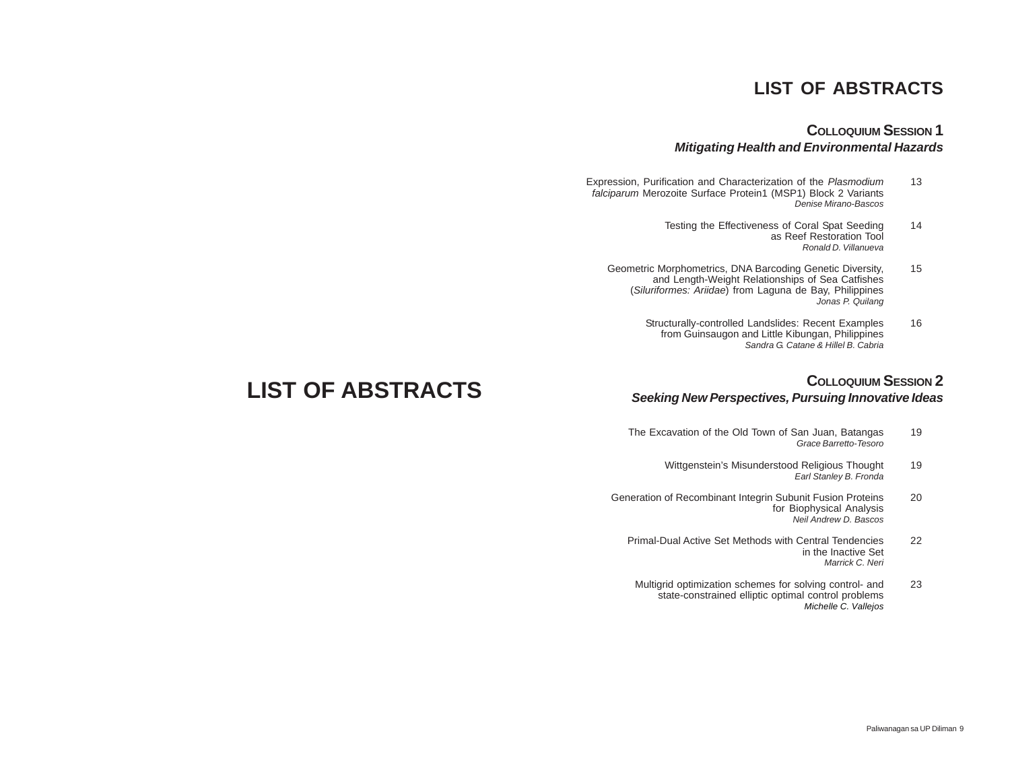## **LIST OF ABSTRACTS**

### **COLLOQUIUM SESSION 1** *Mitigating Health and Environmental Hazards*

- Expression, Purification and Characterization of the *Plasmodium* 13 *falciparum* Merozoite Surface Protein1 (MSP1) Block 2 Variants *Denise Mirano-Bascos*
	- Testing the Effectiveness of Coral Spat Seeding 14 as Reef Restoration Tool *Ronald D. Villanueva*
	- Geometric Morphometrics, DNA Barcoding Genetic Diversity, 15 and Length-Weight Relationships of Sea Catfishes (*Siluriformes: Ariidae*) from Laguna de Bay, Philippines *Jonas P. Quilang*
		- Structurally-controlled Landslides: Recent Examples 16 from Guinsaugon and Little Kibungan, Philippines *Sandra G. Catane & Hillel B. Cabria*

### **COLLOQUIUM SESSION 2** *Seeking New Perspectives, Pursuing Innovative Ideas*

- The Excavation of the Old Town of San Juan, Batangas 19 *Grace Barretto-Tesoro*
	- Wittgenstein's Misunderstood Religious Thought 19 *Earl Stanley B. Fronda*
- Generation of Recombinant Integrin Subunit Fusion Proteins 20 for Biophysical Analysis *Neil Andrew D. Bascos*
	- Primal-Dual Active Set Methods with Central Tendencies 22 in the Inactive Set *Marrick C. Neri*
	- Multigrid optimization schemes for solving control- and 23 state-constrained elliptic optimal control problems *Michelle C. Vallejos*

# **LIST OF ABSTRACTS**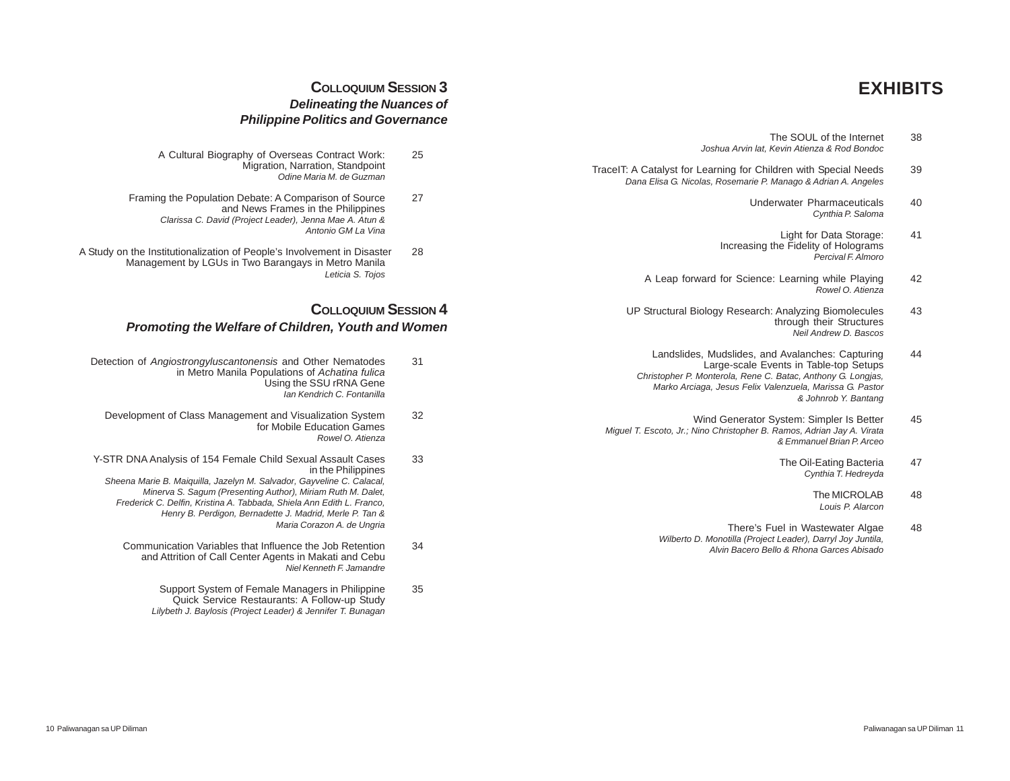# **EXHIBITS**

- The SOUL of the Internet 38 *Joshua Arvin lat, Kevin Atienza & Rod Bondoc*
- TraceIT: A Catalyst for Learning for Children with Special Needs 39 *Dana Elisa G. Nicolas, Rosemarie P. Manago & Adrian A. Angeles*
	- Underwater Pharmaceuticals 40 *Cynthia P. Saloma*
	- Light for Data Storage: 41 Increasing the Fidelity of Holograms *Percival F. Almoro*
	- A Leap forward for Science: Learning while Playing 42 *Rowel O. Atienza*
	- UP Structural Biology Research: Analyzing Biomolecules 43 through their Structures *Neil Andrew D. Bascos*
	- Landslides, Mudslides, and Avalanches: Capturing 44 Large-scale Events in Table-top Setups *Christopher P. Monterola, Rene C. Batac, Anthony G. Longjas, Marko Arciaga, Jesus Felix Valenzuela, Marissa G. Pastor & Johnrob Y. Bantang*
	- Wind Generator System: Simpler Is Better 45 *Miguel T. Escoto, Jr.; Nino Christopher B. Ramos, Adrian Jay A. Virata & Emmanuel Brian P. Arceo*
		- The Oil-Eating Bacteria 47 *Cynthia T. Hedreyda*
			- The MICROLAB<sub>48</sub> *Louis P. Alarcon*
		- There's Fuel in Wastewater Algae 48 *Wilberto D. Monotilla (Project Leader), Darryl Joy Juntila, Alvin Bacero Bello & Rhona Garces Abisado*

### **COLLOQUIUM SESSION 3** *Delineating the Nuances of Philippine Politics and Governance*

- A Cultural Biography of Overseas Contract Work: 25 Migration, Narration, Standpoint *Odine Maria M. de Guzman*
- Framing the Population Debate: A Comparison of Source 27 and News Frames in the Philippines *Clarissa C. David (Project Leader), Jenna Mae A. Atun & Antonio GM La Vina*
- A Study on the Institutionalization of People's Involvement in Disaster 28 Management by LGUs in Two Barangays in Metro Manila *Leticia S. Tojos*

### **COLLOQUIUM SESSION 4** *Promoting the Welfare of Children, Youth and Women*

- Detection of *Angiostrongyluscantonensis* and Other Nematodes 31 in Metro Manila Populations of *Achatina fulica* Using the SSU rRNA Gene *Ian Kendrich C. Fontanilla*
	- Development of Class Management and Visualization System 32 for Mobile Education Games *Rowel O. Atienza*
- Y-STR DNA Analysis of 154 Female Child Sexual Assault Cases 33 in the Philippines *Sheena Marie B. Maiquilla, Jazelyn M. Salvador, Gayveline C. Calacal, Minerva S. Sagum (Presenting Author), Miriam Ruth M. Dalet, Frederick C. Delfin, Kristina A. Tabbada, Shiela Ann Edith L. Franco, Henry B. Perdigon, Bernadette J. Madrid, Merle P. Tan & Maria Corazon A. de Ungria*
	- Communication Variables that Influence the Job Retention 34 and Attrition of Call Center Agents in Makati and Cebu *Niel Kenneth F. Jamandre*
		- Support System of Female Managers in Philippine 35 Quick Service Restaurants: A Follow-up Study *Lilybeth J. Baylosis (Project Leader) & Jennifer T. Bunagan*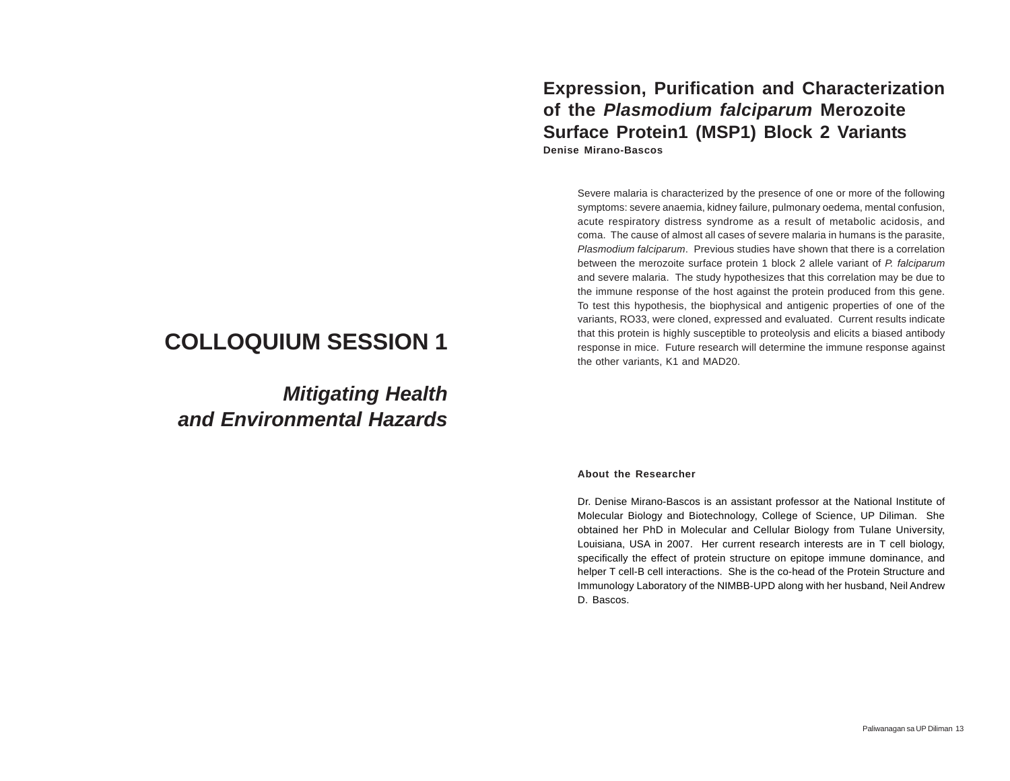# **COLLOQUIUM SESSION 1**

*Mitigating Health and Environmental Hazards*

### **Expression, Purification and Characterization of the** *Plasmodium falciparum* **Merozoite Surface Protein1 (MSP1) Block 2 Variants Denise Mirano-Bascos**

Severe malaria is characterized by the presence of one or more of the following symptoms: severe anaemia, kidney failure, pulmonary oedema, mental confusion, acute respiratory distress syndrome as a result of metabolic acidosis, and coma. The cause of almost all cases of severe malaria in humans is the parasite, *Plasmodium falciparum*. Previous studies have shown that there is a correlation between the merozoite surface protein 1 block 2 allele variant of *P. falciparum* and severe malaria. The study hypothesizes that this correlation may be due to the immune response of the host against the protein produced from this gene. To test this hypothesis, the biophysical and antigenic properties of one of the variants, RO33, were cloned, expressed and evaluated. Current results indicate that this protein is highly susceptible to proteolysis and elicits a biased antibody response in mice. Future research will determine the immune response against the other variants, K1 and MAD20.

#### **About the Researcher**

Dr. Denise Mirano-Bascos is an assistant professor at the National Institute of Molecular Biology and Biotechnology, College of Science, UP Diliman. She obtained her PhD in Molecular and Cellular Biology from Tulane University, Louisiana, USA in 2007. Her current research interests are in T cell biology, specifically the effect of protein structure on epitope immune dominance, and helper T cell-B cell interactions. She is the co-head of the Protein Structure and Immunology Laboratory of the NIMBB-UPD along with her husband, Neil Andrew D. Bascos.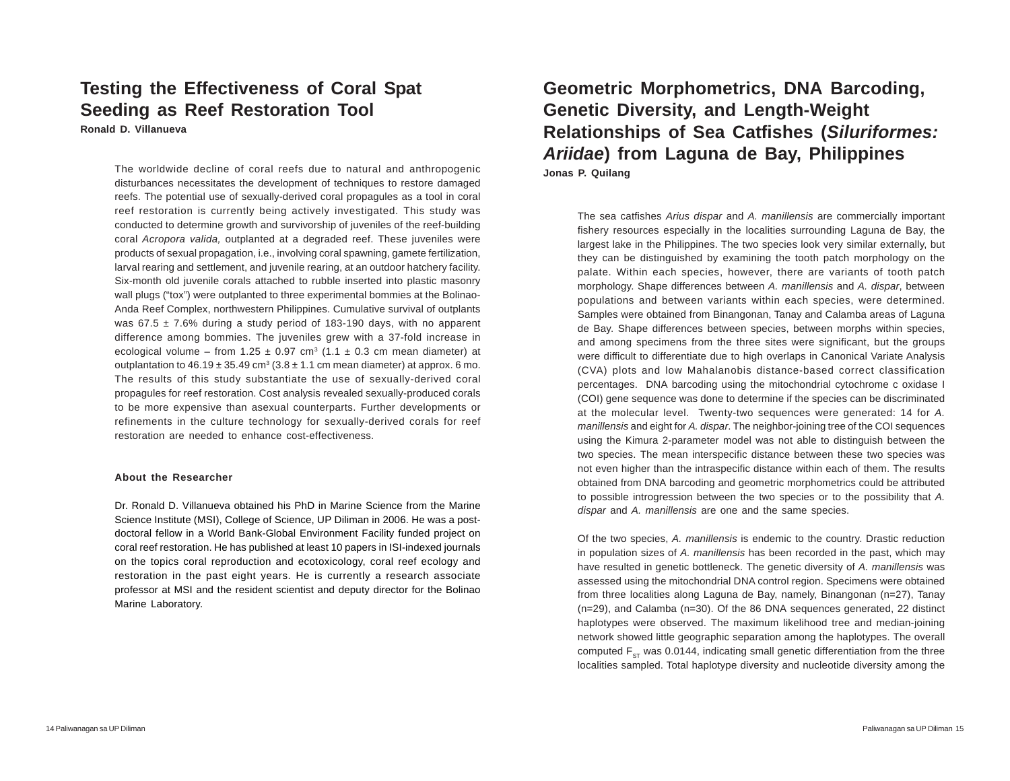### **Testing the Effectiveness of Coral Spat Seeding as Reef Restoration Tool Ronald D. Villanueva**

The worldwide decline of coral reefs due to natural and anthropogenic disturbances necessitates the development of techniques to restore damaged reefs. The potential use of sexually-derived coral propagules as a tool in coral reef restoration is currently being actively investigated. This study was conducted to determine growth and survivorship of juveniles of the reef-building coral *Acropora valida,* outplanted at a degraded reef. These juveniles were products of sexual propagation, i.e., involving coral spawning, gamete fertilization, larval rearing and settlement, and juvenile rearing, at an outdoor hatchery facility. Six-month old juvenile corals attached to rubble inserted into plastic masonry wall plugs ("tox") were outplanted to three experimental bommies at the Bolinao-Anda Reef Complex, northwestern Philippines. Cumulative survival of outplants was  $67.5 \pm 7.6\%$  during a study period of 183-190 days, with no apparent difference among bommies. The juveniles grew with a 37-fold increase in ecological volume – from 1.25  $\pm$  0.97 cm<sup>3</sup> (1.1  $\pm$  0.3 cm mean diameter) at outplantation to  $46.19 \pm 35.49$  cm<sup>3</sup> ( $3.8 \pm 1.1$  cm mean diameter) at approx. 6 mo. The results of this study substantiate the use of sexually-derived coral propagules for reef restoration. Cost analysis revealed sexually-produced corals to be more expensive than asexual counterparts. Further developments or refinements in the culture technology for sexually-derived corals for reef restoration are needed to enhance cost-effectiveness.

#### **About the Researcher**

Dr. Ronald D. Villanueva obtained his PhD in Marine Science from the Marine Science Institute (MSI), College of Science, UP Diliman in 2006. He was a postdoctoral fellow in a World Bank-Global Environment Facility funded project on coral reef restoration. He has published at least 10 papers in ISI-indexed journals on the topics coral reproduction and ecotoxicology, coral reef ecology and restoration in the past eight years. He is currently a research associate professor at MSI and the resident scientist and deputy director for the Bolinao Marine Laboratory.

## **Geometric Morphometrics, DNA Barcoding, Genetic Diversity, and Length-Weight Relationships of Sea Catfishes (***Siluriformes: Ariidae***) from Laguna de Bay, Philippines Jonas P. Quilang**

The sea catfishes *Arius dispar* and *A. manillensis* are commercially important fishery resources especially in the localities surrounding Laguna de Bay, the largest lake in the Philippines. The two species look very similar externally, but they can be distinguished by examining the tooth patch morphology on the palate. Within each species, however, there are variants of tooth patch morphology. Shape differences between *A. manillensis* and *A. dispar*, between populations and between variants within each species, were determined. Samples were obtained from Binangonan, Tanay and Calamba areas of Laguna de Bay. Shape differences between species, between morphs within species, and among specimens from the three sites were significant, but the groups were difficult to differentiate due to high overlaps in Canonical Variate Analysis (CVA) plots and low Mahalanobis distance-based correct classification percentages. DNA barcoding using the mitochondrial cytochrome c oxidase I (COI) gene sequence was done to determine if the species can be discriminated at the molecular level. Twenty-two sequences were generated: 14 for *A. manillensis* and eight for *A. dispar*. The neighbor-joining tree of the COI sequences using the Kimura 2-parameter model was not able to distinguish between the two species. The mean interspecific distance between these two species was not even higher than the intraspecific distance within each of them. The results obtained from DNA barcoding and geometric morphometrics could be attributed to possible introgression between the two species or to the possibility that *A. dispar* and *A. manillensis* are one and the same species.

Of the two species, *A. manillensis* is endemic to the country. Drastic reduction in population sizes of *A. manillensis* has been recorded in the past, which may have resulted in genetic bottleneck. The genetic diversity of *A. manillensis* was assessed using the mitochondrial DNA control region. Specimens were obtained from three localities along Laguna de Bay, namely, Binangonan (n=27), Tanay (n=29), and Calamba (n=30). Of the 86 DNA sequences generated, 22 distinct haplotypes were observed. The maximum likelihood tree and median-joining network showed little geographic separation among the haplotypes. The overall computed  $F_{ST}$  was 0.0144, indicating small genetic differentiation from the three localities sampled. Total haplotype diversity and nucleotide diversity among the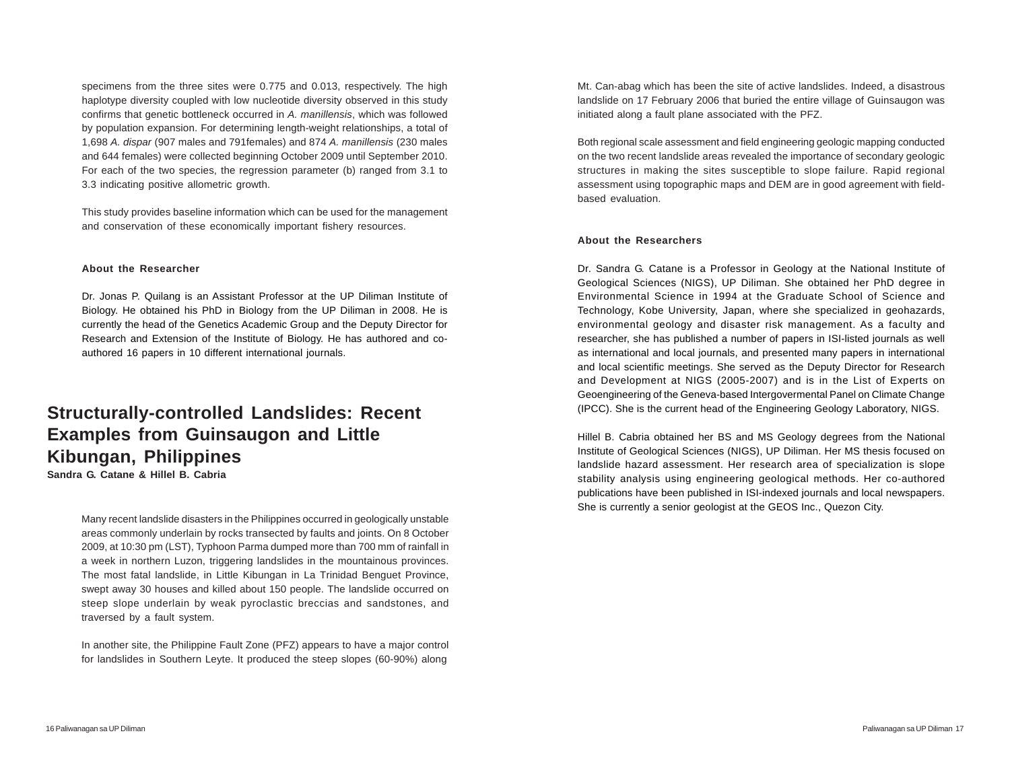specimens from the three sites were 0.775 and 0.013, respectively. The high haplotype diversity coupled with low nucleotide diversity observed in this study confirms that genetic bottleneck occurred in *A. manillensis*, which was followed by population expansion. For determining length-weight relationships, a total of 1,698 *A. dispar* (907 males and 791females) and 874 *A. manillensis* (230 males and 644 females) were collected beginning October 2009 until September 2010. For each of the two species, the regression parameter (b) ranged from 3.1 to 3.3 indicating positive allometric growth.

This study provides baseline information which can be used for the management and conservation of these economically important fishery resources.

#### **About the Researcher**

Dr. Jonas P. Quilang is an Assistant Professor at the UP Diliman Institute of Biology. He obtained his PhD in Biology from the UP Diliman in 2008. He is currently the head of the Genetics Academic Group and the Deputy Director for Research and Extension of the Institute of Biology. He has authored and coauthored 16 papers in 10 different international journals.

# **Structurally-controlled Landslides: Recent Examples from Guinsaugon and Little Kibungan, Philippines**

**Sandra G. Catane & Hillel B. Cabria**

Many recent landslide disasters in the Philippines occurred in geologically unstable areas commonly underlain by rocks transected by faults and joints. On 8 October 2009, at 10:30 pm (LST), Typhoon Parma dumped more than 700 mm of rainfall in a week in northern Luzon, triggering landslides in the mountainous provinces. The most fatal landslide, in Little Kibungan in La Trinidad Benguet Province, swept away 30 houses and killed about 150 people. The landslide occurred on steep slope underlain by weak pyroclastic breccias and sandstones, and traversed by a fault system.

In another site, the Philippine Fault Zone (PFZ) appears to have a major control for landslides in Southern Leyte. It produced the steep slopes (60-90%) along Mt. Can-abag which has been the site of active landslides. Indeed, a disastrous landslide on 17 February 2006 that buried the entire village of Guinsaugon was initiated along a fault plane associated with the PFZ.

Both regional scale assessment and field engineering geologic mapping conducted on the two recent landslide areas revealed the importance of secondary geologic structures in making the sites susceptible to slope failure. Rapid regional assessment using topographic maps and DEM are in good agreement with fieldbased evaluation.

#### **About the Researchers**

Dr. Sandra G. Catane is a Professor in Geology at the National Institute of Geological Sciences (NIGS), UP Diliman. She obtained her PhD degree in Environmental Science in 1994 at the Graduate School of Science and Technology, Kobe University, Japan, where she specialized in geohazards, environmental geology and disaster risk management. As a faculty and researcher, she has published a number of papers in ISI-listed journals as well as international and local journals, and presented many papers in international and local scientific meetings. She served as the Deputy Director for Research and Development at NIGS (2005-2007) and is in the List of Experts on Geoengineering of the Geneva-based Intergovermental Panel on Climate Change (IPCC). She is the current head of the Engineering Geology Laboratory, NIGS.

Hillel B. Cabria obtained her BS and MS Geology degrees from the National Institute of Geological Sciences (NIGS), UP Diliman. Her MS thesis focused on landslide hazard assessment. Her research area of specialization is slope stability analysis using engineering geological methods. Her co-authored publications have been published in ISI-indexed journals and local newspapers. She is currently a senior geologist at the GEOS Inc., Quezon City.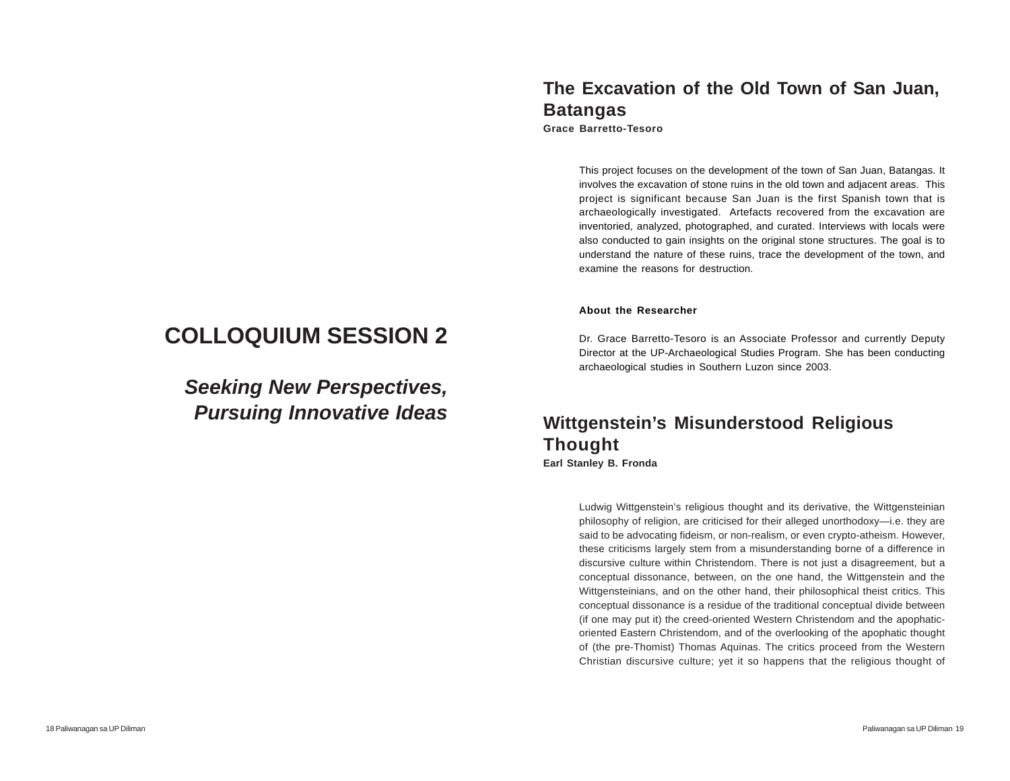# **COLLOQUIUM SESSION 2**

*Seeking New Perspectives, Pursuing Innovative Ideas*

# **The Excavation of the Old Town of San Juan, Batangas**

**Grace Barretto-Tesoro**

This project focuses on the development of the town of San Juan, Batangas. It involves the excavation of stone ruins in the old town and adjacent areas. This project is significant because San Juan is the first Spanish town that is archaeologically investigated. Artefacts recovered from the excavation are inventoried, analyzed, photographed, and curated. Interviews with locals were also conducted to gain insights on the original stone structures. The goal is to understand the nature of these ruins, trace the development of the town, and examine the reasons for destruction.

#### **About the Researcher**

Dr. Grace Barretto-Tesoro is an Associate Professor and currently Deputy Director at the UP-Archaeological Studies Program. She has been conducting archaeological studies in Southern Luzon since 2003.

### **Wittgenstein's Misunderstood Religious Thought Earl Stanley B. Fronda**

Ludwig Wittgenstein's religious thought and its derivative, the Wittgensteinian philosophy of religion, are criticised for their alleged unorthodoxy—i.e. they are said to be advocating fideism, or non-realism, or even crypto-atheism. However, these criticisms largely stem from a misunderstanding borne of a difference in discursive culture within Christendom. There is not just a disagreement, but a conceptual dissonance, between, on the one hand, the Wittgenstein and the Wittgensteinians, and on the other hand, their philosophical theist critics. This conceptual dissonance is a residue of the traditional conceptual divide between (if one may put it) the creed-oriented Western Christendom and the apophaticoriented Eastern Christendom, and of the overlooking of the apophatic thought of (the pre-Thomist) Thomas Aquinas. The critics proceed from the Western Christian discursive culture; yet it so happens that the religious thought of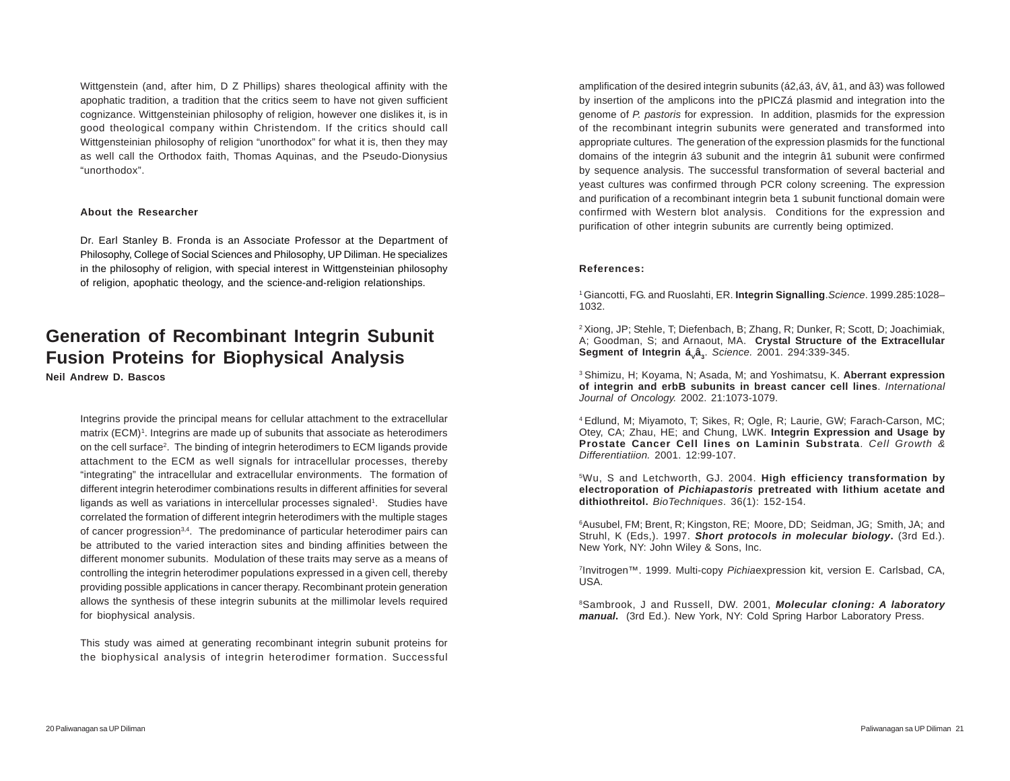Wittgenstein (and, after him, D Z Phillips) shares theological affinity with the apophatic tradition, a tradition that the critics seem to have not given sufficient cognizance. Wittgensteinian philosophy of religion, however one dislikes it, is in good theological company within Christendom. If the critics should call Wittgensteinian philosophy of religion "unorthodox" for what it is, then they may as well call the Orthodox faith, Thomas Aquinas, and the Pseudo-Dionysius "unorthodox".

#### **About the Researcher**

Dr. Earl Stanley B. Fronda is an Associate Professor at the Department of Philosophy, College of Social Sciences and Philosophy, UP Diliman. He specializes in the philosophy of religion, with special interest in Wittgensteinian philosophy of religion, apophatic theology, and the science-and-religion relationships.

## **Generation of Recombinant Integrin Subunit Fusion Proteins for Biophysical Analysis**

**Neil Andrew D. Bascos**

Integrins provide the principal means for cellular attachment to the extracellular matrix (ECM)<sup>1</sup>. Integrins are made up of subunits that associate as heterodimers on the cell surface<sup>2</sup>. The binding of integrin heterodimers to ECM ligands provide attachment to the ECM as well signals for intracellular processes, thereby "integrating" the intracellular and extracellular environments. The formation of different integrin heterodimer combinations results in different affinities for several ligands as well as variations in intercellular processes signaled<sup>1</sup>. Studies have correlated the formation of different integrin heterodimers with the multiple stages of cancer progression<sup>3,4</sup>. The predominance of particular heterodimer pairs can be attributed to the varied interaction sites and binding affinities between the different monomer subunits. Modulation of these traits may serve as a means of controlling the integrin heterodimer populations expressed in a given cell, thereby providing possible applications in cancer therapy. Recombinant protein generation allows the synthesis of these integrin subunits at the millimolar levels required for biophysical analysis.

This study was aimed at generating recombinant integrin subunit proteins for the biophysical analysis of integrin heterodimer formation. Successful amplification of the desired integrin subunits (á2,á3, áV, â1, and â3) was followed by insertion of the amplicons into the pPICZá plasmid and integration into the genome of *P. pastoris* for expression. In addition, plasmids for the expression of the recombinant integrin subunits were generated and transformed into appropriate cultures. The generation of the expression plasmids for the functional domains of the integrin á3 subunit and the integrin â1 subunit were confirmed by sequence analysis. The successful transformation of several bacterial and yeast cultures was confirmed through PCR colony screening. The expression and purification of a recombinant integrin beta 1 subunit functional domain were confirmed with Western blot analysis. Conditions for the expression and purification of other integrin subunits are currently being optimized.

#### **References:**

1 Giancotti, FG. and Ruoslahti, ER. **Integrin Signalling**.*Science*. 1999.285:1028– 1032.

2 Xiong, JP; Stehle, T; Diefenbach, B; Zhang, R; Dunker, R; Scott, D; Joachimiak, A; Goodman, S; and Arnaout, MA. **Crystal Structure of the Extracellular Segment of Integrin á<sub>v</sub>â**<sub>3</sub>. Science. 2001. 294:339-345.

3 Shimizu, H; Koyama, N; Asada, M; and Yoshimatsu, K. **Aberrant expression of integrin and erbB subunits in breast cancer cell lines**. *International Journal of Oncology.* 2002. 21:1073-1079.

4 Edlund, M; Miyamoto, T; Sikes, R; Ogle, R; Laurie, GW; Farach-Carson, MC; Otey, CA; Zhau, HE; and Chung, LWK. **Integrin Expression and Usage by Prostate Cancer Cell lines on Laminin Substrata**. *Cell Growth & Differentiatiion.* 2001. 12:99-107.

5Wu, S and Letchworth, GJ. 2004. **High efficiency transformation by electroporation of** *Pichiapastoris* **pretreated with lithium acetate and dithiothreitol.** *BioTechniques*. 36(1): 152-154.

6 Ausubel, FM; Brent, R; Kingston, RE; Moore, DD; Seidman, JG; Smith, JA; and Struhl, K (Eds.). 1997. **Short protocols in molecular biology.** (3rd Ed.). New York, NY: John Wiley & Sons, Inc.

7 Invitrogen™. 1999. Multi-copy *Pichia*expression kit, version E. Carlsbad, CA, USA.

8Sambrook, J and Russell, DW. 2001, *Molecular cloning: A laboratory manual***.** (3rd Ed.). New York, NY: Cold Spring Harbor Laboratory Press.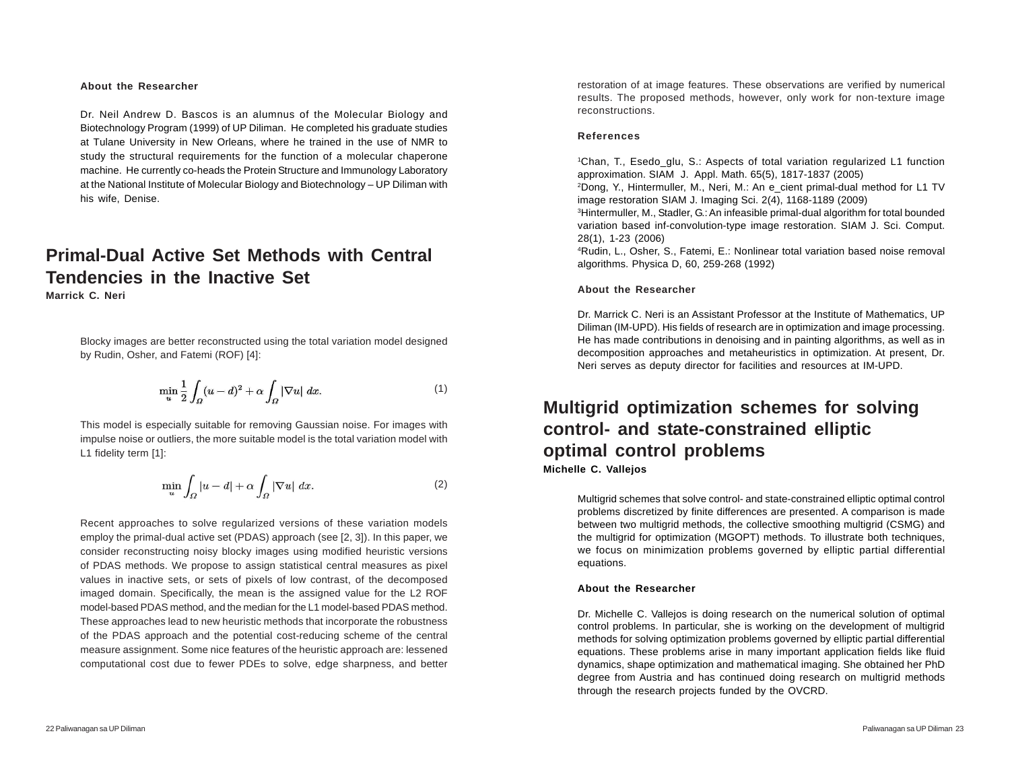#### **About the Researcher**

Dr. Neil Andrew D. Bascos is an alumnus of the Molecular Biology and Biotechnology Program (1999) of UP Diliman. He completed his graduate studies at Tulane University in New Orleans, where he trained in the use of NMR to study the structural requirements for the function of a molecular chaperone machine. He currently co-heads the Protein Structure and Immunology Laboratory at the National Institute of Molecular Biology and Biotechnology – UP Diliman with his wife, Denise.

# **Primal-Dual Active Set Methods with Central Tendencies in the Inactive Set**

**Marrick C. Neri**

Blocky images are better reconstructed using the total variation model designed by Rudin, Osher, and Fatemi (ROF) [4]:

$$
\min_{u} \frac{1}{2} \int_{\Omega} (u - d)^2 + \alpha \int_{\Omega} |\nabla u| \ dx.
$$
 (1)

This model is especially suitable for removing Gaussian noise. For images with impulse noise or outliers, the more suitable model is the total variation model with L1 fidelity term [1]:

$$
\min_{u} \int_{\Omega} |u - d| + \alpha \int_{\Omega} |\nabla u| \ dx.
$$
 (2)

Recent approaches to solve regularized versions of these variation models employ the primal-dual active set (PDAS) approach (see [2, 3]). In this paper, we consider reconstructing noisy blocky images using modified heuristic versions of PDAS methods. We propose to assign statistical central measures as pixel values in inactive sets, or sets of pixels of low contrast, of the decomposed imaged domain. Specifically, the mean is the assigned value for the L2 ROF model-based PDAS method, and the median for the L1 model-based PDAS method. These approaches lead to new heuristic methods that incorporate the robustness of the PDAS approach and the potential cost-reducing scheme of the central measure assignment. Some nice features of the heuristic approach are: lessened computational cost due to fewer PDEs to solve, edge sharpness, and better

restoration of at image features. These observations are verified by numerical results. The proposed methods, however, only work for non-texture image reconstructions.

#### **References**

1Chan, T., Esedo\_glu, S.: Aspects of total variation regularized L1 function approximation. SIAM J. Appl. Math. 65(5), 1817-1837 (2005)

2 Dong, Y., Hintermuller, M., Neri, M.: An e\_cient primal-dual method for L1 TV image restoration SIAM J. Imaging Sci. 2(4), 1168-1189 (2009)

3Hintermuller, M., Stadler, G.: An infeasible primal-dual algorithm for total bounded variation based inf-convolution-type image restoration. SIAM J. Sci. Comput. 28(1), 1-23 (2006)

4Rudin, L., Osher, S., Fatemi, E.: Nonlinear total variation based noise removal algorithms. Physica D, 60, 259-268 (1992)

#### **About the Researcher**

Dr. Marrick C. Neri is an Assistant Professor at the Institute of Mathematics, UP Diliman (IM-UPD). His fields of research are in optimization and image processing. He has made contributions in denoising and in painting algorithms, as well as in decomposition approaches and metaheuristics in optimization. At present, Dr. Neri serves as deputy director for facilities and resources at IM-UPD.

### **Multigrid optimization schemes for solving control- and state-constrained elliptic optimal control problems Michelle C. Vallejos**

Multigrid schemes that solve control- and state-constrained elliptic optimal control problems discretized by finite differences are presented. A comparison is made between two multigrid methods, the collective smoothing multigrid (CSMG) and the multigrid for optimization (MGOPT) methods. To illustrate both techniques, we focus on minimization problems governed by elliptic partial differential equations.

#### **About the Researcher**

Dr. Michelle C. Vallejos is doing research on the numerical solution of optimal control problems. In particular, she is working on the development of multigrid methods for solving optimization problems governed by elliptic partial differential equations. These problems arise in many important application fields like fluid dynamics, shape optimization and mathematical imaging. She obtained her PhD degree from Austria and has continued doing research on multigrid methods through the research projects funded by the OVCRD.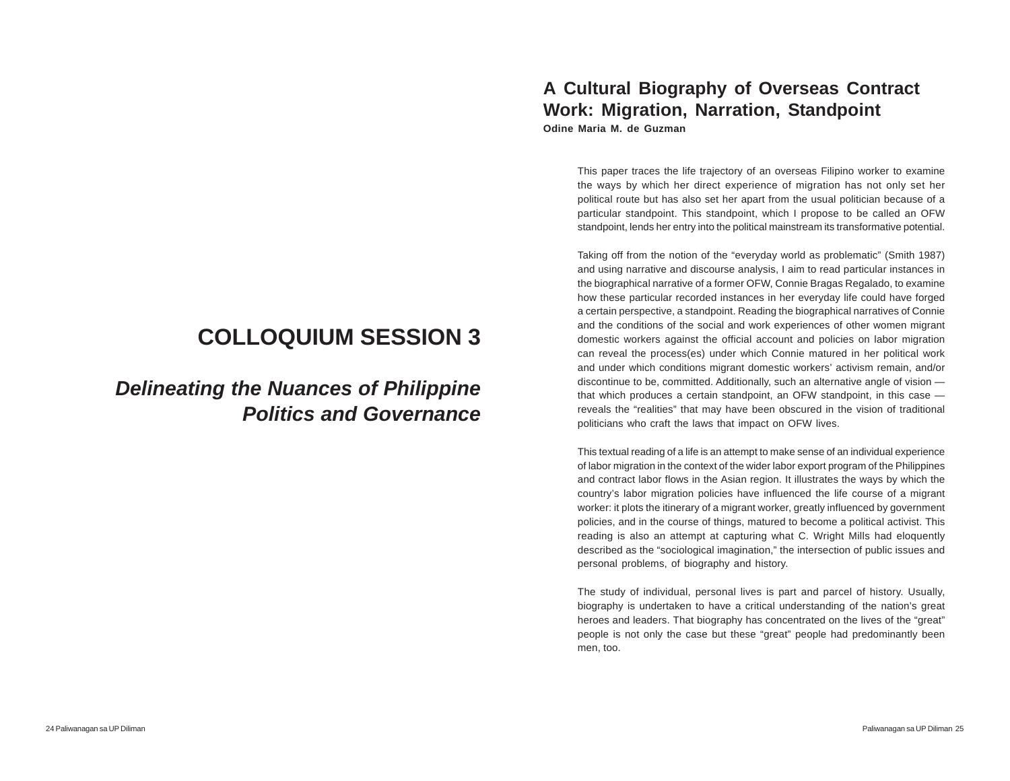# **COLLOQUIUM SESSION 3**

# *Delineating the Nuances of Philippine Politics and Governance*

### **A Cultural Biography of Overseas Contract Work: Migration, Narration, Standpoint Odine Maria M. de Guzman**

This paper traces the life trajectory of an overseas Filipino worker to examine the ways by which her direct experience of migration has not only set her political route but has also set her apart from the usual politician because of a particular standpoint. This standpoint, which I propose to be called an OFW standpoint, lends her entry into the political mainstream its transformative potential.

Taking off from the notion of the "everyday world as problematic" (Smith 1987) and using narrative and discourse analysis, I aim to read particular instances in the biographical narrative of a former OFW, Connie Bragas Regalado, to examine how these particular recorded instances in her everyday life could have forged a certain perspective, a standpoint. Reading the biographical narratives of Connie and the conditions of the social and work experiences of other women migrant domestic workers against the official account and policies on labor migration can reveal the process(es) under which Connie matured in her political work and under which conditions migrant domestic workers' activism remain, and/or discontinue to be, committed. Additionally, such an alternative angle of vision that which produces a certain standpoint, an OFW standpoint, in this case reveals the "realities" that may have been obscured in the vision of traditional politicians who craft the laws that impact on OFW lives.

This textual reading of a life is an attempt to make sense of an individual experience of labor migration in the context of the wider labor export program of the Philippines and contract labor flows in the Asian region. It illustrates the ways by which the country's labor migration policies have influenced the life course of a migrant worker: it plots the itinerary of a migrant worker, greatly influenced by government policies, and in the course of things, matured to become a political activist. This reading is also an attempt at capturing what C. Wright Mills had eloquently described as the "sociological imagination," the intersection of public issues and personal problems, of biography and history.

The study of individual, personal lives is part and parcel of history. Usually, biography is undertaken to have a critical understanding of the nation's great heroes and leaders. That biography has concentrated on the lives of the "great" people is not only the case but these "great" people had predominantly been men, too.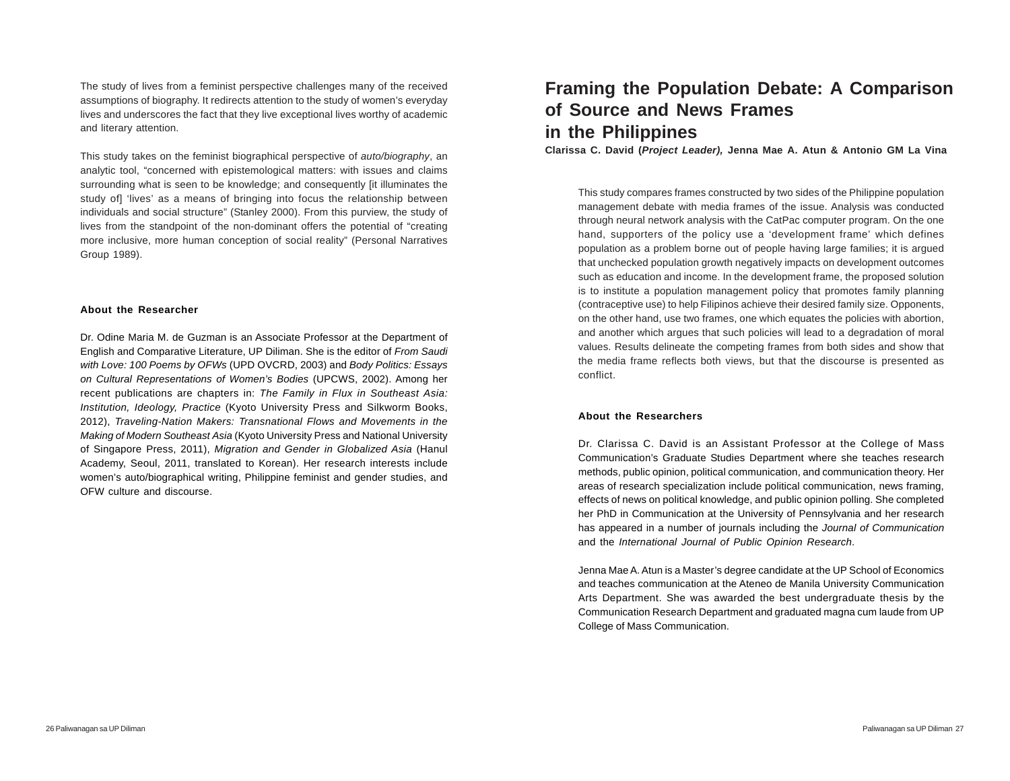The study of lives from a feminist perspective challenges many of the received assumptions of biography. It redirects attention to the study of women's everyday lives and underscores the fact that they live exceptional lives worthy of academic and literary attention.

This study takes on the feminist biographical perspective of *auto/biography*, an analytic tool, "concerned with epistemological matters: with issues and claims surrounding what is seen to be knowledge; and consequently [it illuminates the study of] 'lives' as a means of bringing into focus the relationship between individuals and social structure" (Stanley 2000). From this purview, the study of lives from the standpoint of the non-dominant offers the potential of "creating more inclusive, more human conception of social reality" (Personal Narratives Group 1989).

#### **About the Researcher**

Dr. Odine Maria M. de Guzman is an Associate Professor at the Department of English and Comparative Literature, UP Diliman. She is the editor of *From Saudi with Love: 100 Poems by OFWs* (UPD OVCRD, 2003) and *Body Politics: Essays on Cultural Representations of Women's Bodies* (UPCWS, 2002). Among her recent publications are chapters in: *The Family in Flux in Southeast Asia: Institution, Ideology, Practice* (Kyoto University Press and Silkworm Books, 2012), *Traveling-Nation Makers: Transnational Flows and Movements in the Making of Modern Southeast Asia* (Kyoto University Press and National University of Singapore Press, 2011), *Migration and Gender in Globalized Asia* (Hanul Academy, Seoul, 2011, translated to Korean). Her research interests include women's auto/biographical writing, Philippine feminist and gender studies, and OFW culture and discourse.

# **Framing the Population Debate: A Comparison of Source and News Frames in the Philippines**

**Clarissa C. David (***Project Leader),* **Jenna Mae A. Atun & Antonio GM La Vina**

This study compares frames constructed by two sides of the Philippine population management debate with media frames of the issue. Analysis was conducted through neural network analysis with the CatPac computer program. On the one hand, supporters of the policy use a 'development frame' which defines population as a problem borne out of people having large families; it is argued that unchecked population growth negatively impacts on development outcomes such as education and income. In the development frame, the proposed solution is to institute a population management policy that promotes family planning (contraceptive use) to help Filipinos achieve their desired family size. Opponents, on the other hand, use two frames, one which equates the policies with abortion, and another which argues that such policies will lead to a degradation of moral values. Results delineate the competing frames from both sides and show that the media frame reflects both views, but that the discourse is presented as conflict.

#### **About the Researchers**

Dr. Clarissa C. David is an Assistant Professor at the College of Mass Communication's Graduate Studies Department where she teaches research methods, public opinion, political communication, and communication theory. Her areas of research specialization include political communication, news framing, effects of news on political knowledge, and public opinion polling. She completed her PhD in Communication at the University of Pennsylvania and her research has appeared in a number of journals including the *Journal of Communication* and the *International Journal of Public Opinion Research*.

Jenna Mae A. Atun is a Master's degree candidate at the UP School of Economics and teaches communication at the Ateneo de Manila University Communication Arts Department. She was awarded the best undergraduate thesis by the Communication Research Department and graduated magna cum laude from UP College of Mass Communication.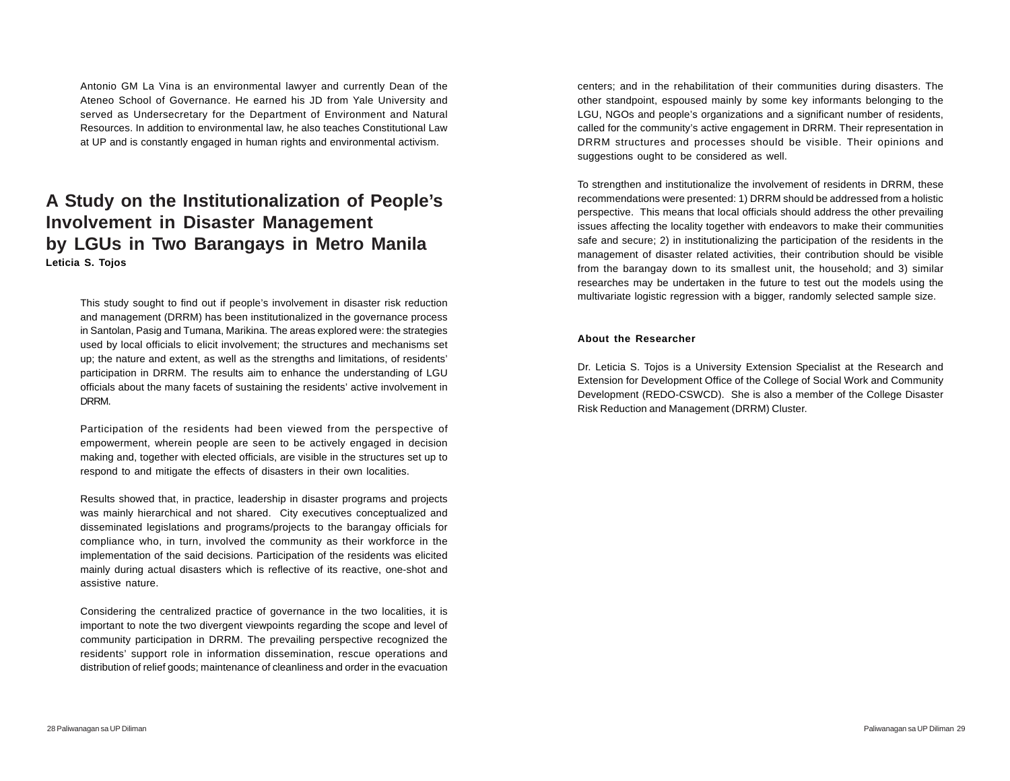Antonio GM La Vina is an environmental lawyer and currently Dean of the Ateneo School of Governance. He earned his JD from Yale University and served as Undersecretary for the Department of Environment and Natural Resources. In addition to environmental law, he also teaches Constitutional Law at UP and is constantly engaged in human rights and environmental activism.

## **A Study on the Institutionalization of People's Involvement in Disaster Management by LGUs in Two Barangays in Metro Manila Leticia S. Tojos**

This study sought to find out if people's involvement in disaster risk reduction and management (DRRM) has been institutionalized in the governance process in Santolan, Pasig and Tumana, Marikina. The areas explored were: the strategies used by local officials to elicit involvement; the structures and mechanisms set up; the nature and extent, as well as the strengths and limitations, of residents' participation in DRRM. The results aim to enhance the understanding of LGU officials about the many facets of sustaining the residents' active involvement in DRRM.

Participation of the residents had been viewed from the perspective of empowerment, wherein people are seen to be actively engaged in decision making and, together with elected officials, are visible in the structures set up to respond to and mitigate the effects of disasters in their own localities.

Results showed that, in practice, leadership in disaster programs and projects was mainly hierarchical and not shared. City executives conceptualized and disseminated legislations and programs/projects to the barangay officials for compliance who, in turn, involved the community as their workforce in the implementation of the said decisions. Participation of the residents was elicited mainly during actual disasters which is reflective of its reactive, one-shot and assistive nature.

Considering the centralized practice of governance in the two localities, it is important to note the two divergent viewpoints regarding the scope and level of community participation in DRRM. The prevailing perspective recognized the residents' support role in information dissemination, rescue operations and distribution of relief goods; maintenance of cleanliness and order in the evacuation centers; and in the rehabilitation of their communities during disasters. The other standpoint, espoused mainly by some key informants belonging to the LGU, NGOs and people's organizations and a significant number of residents, called for the community's active engagement in DRRM. Their representation in DRRM structures and processes should be visible. Their opinions and suggestions ought to be considered as well.

To strengthen and institutionalize the involvement of residents in DRRM, these recommendations were presented: 1) DRRM should be addressed from a holistic perspective. This means that local officials should address the other prevailing issues affecting the locality together with endeavors to make their communities safe and secure; 2) in institutionalizing the participation of the residents in the management of disaster related activities, their contribution should be visible from the barangay down to its smallest unit, the household; and 3) similar researches may be undertaken in the future to test out the models using the multivariate logistic regression with a bigger, randomly selected sample size.

#### **About the Researcher**

Dr. Leticia S. Tojos is a University Extension Specialist at the Research and Extension for Development Office of the College of Social Work and Community Development (REDO-CSWCD). She is also a member of the College Disaster Risk Reduction and Management (DRRM) Cluster.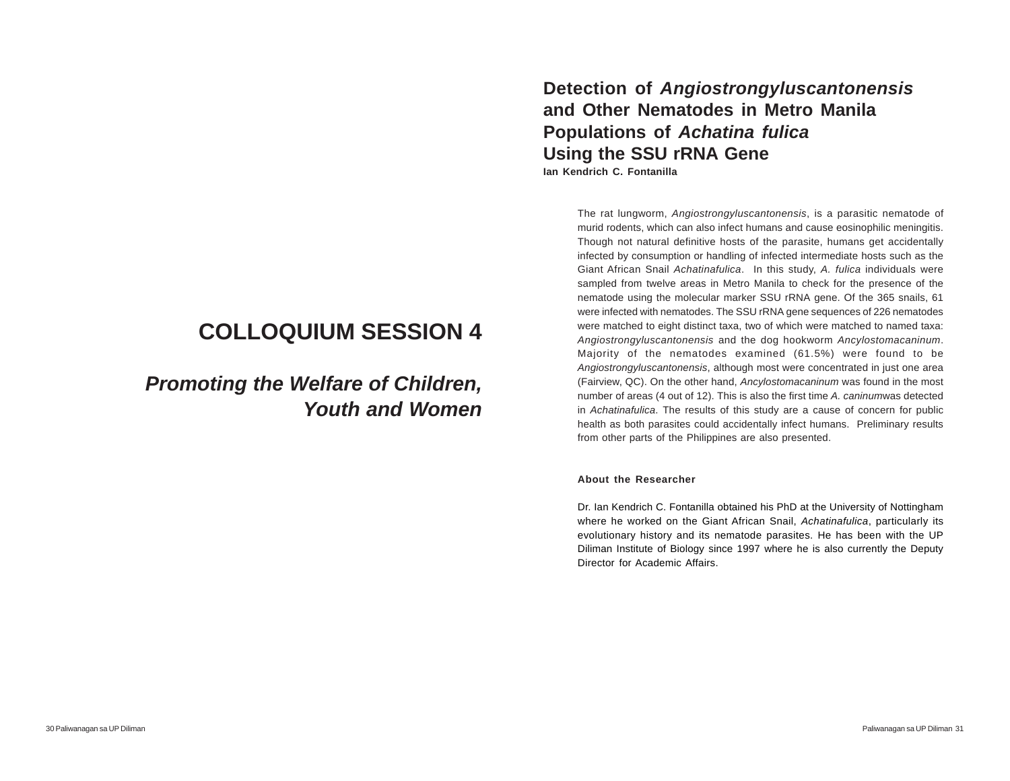# **COLLOQUIUM SESSION 4**

# *Promoting the Welfare of Children, Youth and Women*

**Detection of** *Angiostrongyluscantonensis* **and Other Nematodes in Metro Manila Populations of** *Achatina fulica* **Using the SSU rRNA Gene Ian Kendrich C. Fontanilla**

The rat lungworm, *Angiostrongyluscantonensis*, is a parasitic nematode of murid rodents, which can also infect humans and cause eosinophilic meningitis. Though not natural definitive hosts of the parasite, humans get accidentally infected by consumption or handling of infected intermediate hosts such as the Giant African Snail *Achatinafulica*. In this study, *A. fulica* individuals were sampled from twelve areas in Metro Manila to check for the presence of the nematode using the molecular marker SSU rRNA gene. Of the 365 snails, 61 were infected with nematodes. The SSU rRNA gene sequences of 226 nematodes were matched to eight distinct taxa, two of which were matched to named taxa: *Angiostrongyluscantonensis* and the dog hookworm *Ancylostomacaninum*. Majority of the nematodes examined (61.5%) were found to be *Angiostrongyluscantonensis*, although most were concentrated in just one area (Fairview, QC). On the other hand, *Ancylostomacaninum* was found in the most number of areas (4 out of 12). This is also the first time *A. caninum*was detected in *Achatinafulica*. The results of this study are a cause of concern for public health as both parasites could accidentally infect humans. Preliminary results from other parts of the Philippines are also presented.

#### **About the Researcher**

Dr. Ian Kendrich C. Fontanilla obtained his PhD at the University of Nottingham where he worked on the Giant African Snail, *Achatinafulica*, particularly its evolutionary history and its nematode parasites. He has been with the UP Diliman Institute of Biology since 1997 where he is also currently the Deputy Director for Academic Affairs.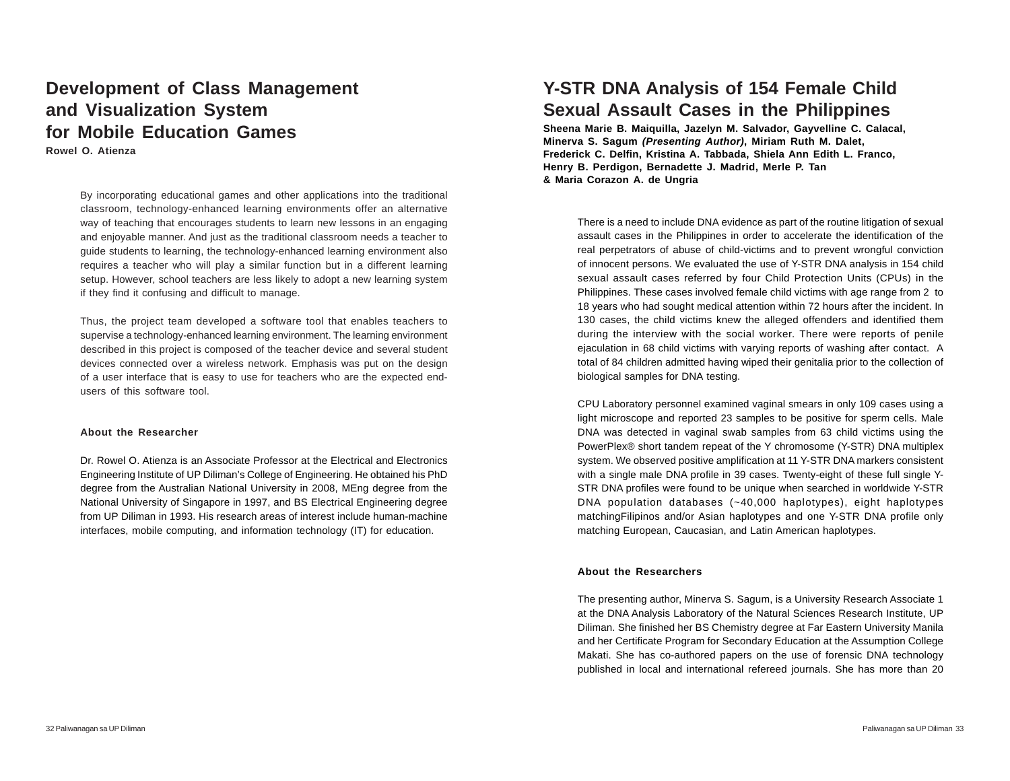## **Development of Class Management and Visualization System for Mobile Education Games**

**Rowel O. Atienza**

By incorporating educational games and other applications into the traditional classroom, technology-enhanced learning environments offer an alternative way of teaching that encourages students to learn new lessons in an engaging and enjoyable manner. And just as the traditional classroom needs a teacher to guide students to learning, the technology-enhanced learning environment also requires a teacher who will play a similar function but in a different learning setup. However, school teachers are less likely to adopt a new learning system if they find it confusing and difficult to manage.

Thus, the project team developed a software tool that enables teachers to supervise a technology-enhanced learning environment. The learning environment described in this project is composed of the teacher device and several student devices connected over a wireless network. Emphasis was put on the design of a user interface that is easy to use for teachers who are the expected endusers of this software tool.

#### **About the Researcher**

Dr. Rowel O. Atienza is an Associate Professor at the Electrical and Electronics Engineering Institute of UP Diliman's College of Engineering. He obtained his PhD degree from the Australian National University in 2008, MEng degree from the National University of Singapore in 1997, and BS Electrical Engineering degree from UP Diliman in 1993. His research areas of interest include human-machine interfaces, mobile computing, and information technology (IT) for education.

# **Y-STR DNA Analysis of 154 Female Child Sexual Assault Cases in the Philippines**

**Sheena Marie B. Maiquilla, Jazelyn M. Salvador, Gayvelline C. Calacal, Minerva S. Sagum** *(Presenting Author)***, Miriam Ruth M. Dalet, Frederick C. Delfin, Kristina A. Tabbada, Shiela Ann Edith L. Franco, Henry B. Perdigon, Bernadette J. Madrid, Merle P. Tan & Maria Corazon A. de Ungria**

There is a need to include DNA evidence as part of the routine litigation of sexual assault cases in the Philippines in order to accelerate the identification of the real perpetrators of abuse of child-victims and to prevent wrongful conviction of innocent persons. We evaluated the use of Y-STR DNA analysis in 154 child sexual assault cases referred by four Child Protection Units (CPUs) in the Philippines. These cases involved female child victims with age range from 2 to 18 years who had sought medical attention within 72 hours after the incident. In 130 cases, the child victims knew the alleged offenders and identified them during the interview with the social worker. There were reports of penile ejaculation in 68 child victims with varying reports of washing after contact. A total of 84 children admitted having wiped their genitalia prior to the collection of biological samples for DNA testing.

CPU Laboratory personnel examined vaginal smears in only 109 cases using a light microscope and reported 23 samples to be positive for sperm cells. Male DNA was detected in vaginal swab samples from 63 child victims using the PowerPlex® short tandem repeat of the Y chromosome (Y-STR) DNA multiplex system. We observed positive amplification at 11 Y-STR DNA markers consistent with a single male DNA profile in 39 cases. Twenty-eight of these full single Y-STR DNA profiles were found to be unique when searched in worldwide Y-STR DNA population databases (~40,000 haplotypes), eight haplotypes matchingFilipinos and/or Asian haplotypes and one Y-STR DNA profile only matching European, Caucasian, and Latin American haplotypes.

#### **About the Researchers**

The presenting author, Minerva S. Sagum, is a University Research Associate 1 at the DNA Analysis Laboratory of the Natural Sciences Research Institute, UP Diliman. She finished her BS Chemistry degree at Far Eastern University Manila and her Certificate Program for Secondary Education at the Assumption College Makati. She has co-authored papers on the use of forensic DNA technology published in local and international refereed journals. She has more than 20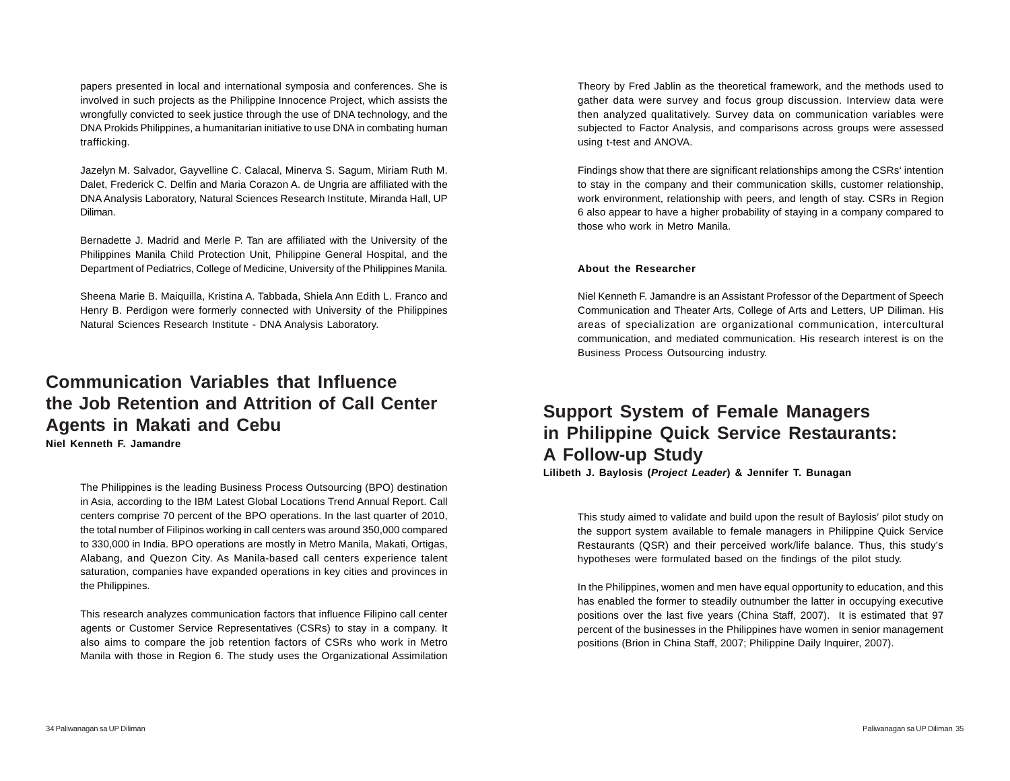papers presented in local and international symposia and conferences. She is involved in such projects as the Philippine Innocence Project, which assists the wrongfully convicted to seek justice through the use of DNA technology, and the DNA Prokids Philippines, a humanitarian initiative to use DNA in combating human trafficking.

Jazelyn M. Salvador, Gayvelline C. Calacal, Minerva S. Sagum, Miriam Ruth M. Dalet, Frederick C. Delfin and Maria Corazon A. de Ungria are affiliated with the DNA Analysis Laboratory, Natural Sciences Research Institute, Miranda Hall, UP Diliman.

Bernadette J. Madrid and Merle P. Tan are affiliated with the University of the Philippines Manila Child Protection Unit, Philippine General Hospital, and the Department of Pediatrics, College of Medicine, University of the Philippines Manila.

Sheena Marie B. Maiquilla, Kristina A. Tabbada, Shiela Ann Edith L. Franco and Henry B. Perdigon were formerly connected with University of the Philippines Natural Sciences Research Institute - DNA Analysis Laboratory.

### **Communication Variables that Influence the Job Retention and Attrition of Call Center Agents in Makati and Cebu Niel Kenneth F. Jamandre**

The Philippines is the leading Business Process Outsourcing (BPO) destination in Asia, according to the IBM Latest Global Locations Trend Annual Report. Call centers comprise 70 percent of the BPO operations. In the last quarter of 2010, the total number of Filipinos working in call centers was around 350,000 compared to 330,000 in India. BPO operations are mostly in Metro Manila, Makati, Ortigas, Alabang, and Quezon City. As Manila-based call centers experience talent saturation, companies have expanded operations in key cities and provinces in the Philippines.

This research analyzes communication factors that influence Filipino call center agents or Customer Service Representatives (CSRs) to stay in a company. It also aims to compare the job retention factors of CSRs who work in Metro Manila with those in Region 6. The study uses the Organizational Assimilation Theory by Fred Jablin as the theoretical framework, and the methods used to gather data were survey and focus group discussion. Interview data were then analyzed qualitatively. Survey data on communication variables were subjected to Factor Analysis, and comparisons across groups were assessed using t-test and ANOVA.

Findings show that there are significant relationships among the CSRs' intention to stay in the company and their communication skills, customer relationship, work environment, relationship with peers, and length of stay. CSRs in Region 6 also appear to have a higher probability of staying in a company compared to those who work in Metro Manila.

#### **About the Researcher**

Niel Kenneth F. Jamandre is an Assistant Professor of the Department of Speech Communication and Theater Arts, College of Arts and Letters, UP Diliman. His areas of specialization are organizational communication, intercultural communication, and mediated communication. His research interest is on the Business Process Outsourcing industry.

# **Support System of Female Managers in Philippine Quick Service Restaurants: A Follow-up Study**

**Lilibeth J. Baylosis (***Project Leader***) & Jennifer T. Bunagan**

This study aimed to validate and build upon the result of Baylosis' pilot study on the support system available to female managers in Philippine Quick Service Restaurants (QSR) and their perceived work/life balance. Thus, this study's hypotheses were formulated based on the findings of the pilot study.

In the Philippines, women and men have equal opportunity to education, and this has enabled the former to steadily outnumber the latter in occupying executive positions over the last five years (China Staff, 2007). It is estimated that 97 percent of the businesses in the Philippines have women in senior management positions (Brion in China Staff, 2007; Philippine Daily Inquirer, 2007).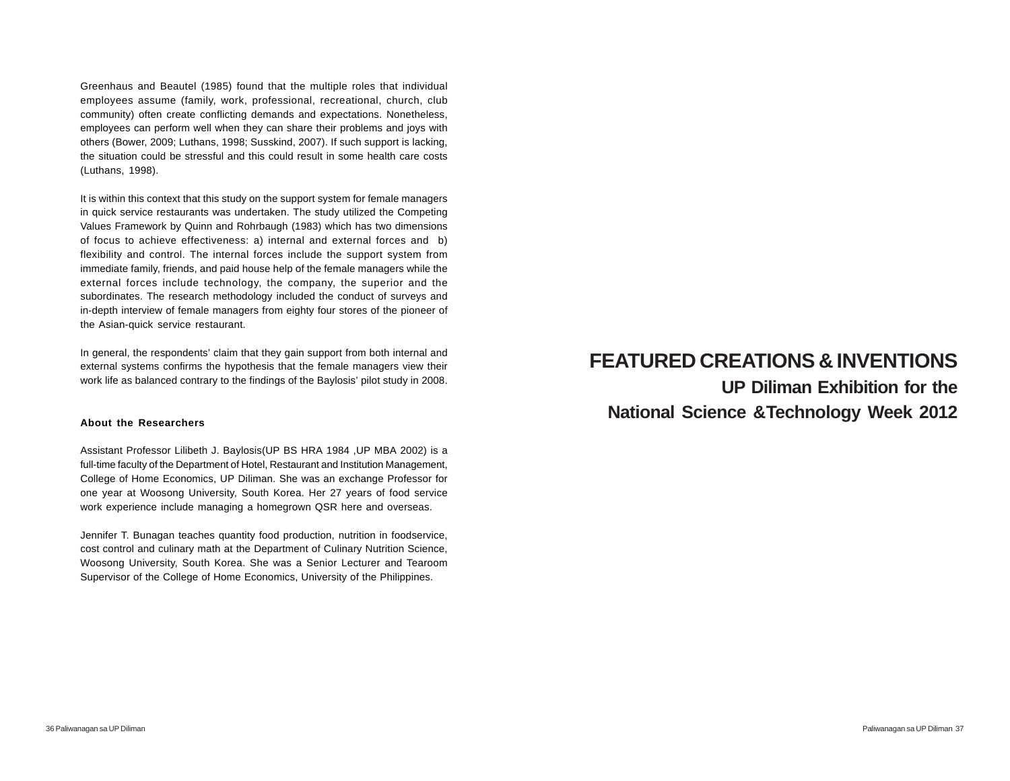Greenhaus and Beautel (1985) found that the multiple roles that individual employees assume (family, work, professional, recreational, church, club community) often create conflicting demands and expectations. Nonetheless, employees can perform well when they can share their problems and joys with others (Bower, 2009; Luthans, 1998; Susskind, 2007). If such support is lacking, the situation could be stressful and this could result in some health care costs (Luthans, 1998).

It is within this context that this study on the support system for female managers in quick service restaurants was undertaken. The study utilized the Competing Values Framework by Quinn and Rohrbaugh (1983) which has two dimensions of focus to achieve effectiveness: a) internal and external forces and b) flexibility and control. The internal forces include the support system from immediate family, friends, and paid house help of the female managers while the external forces include technology, the company, the superior and the subordinates. The research methodology included the conduct of surveys and in-depth interview of female managers from eighty four stores of the pioneer of the Asian-quick service restaurant.

In general, the respondents' claim that they gain support from both internal and external systems confirms the hypothesis that the female managers view their work life as balanced contrary to the findings of the Baylosis' pilot study in 2008.

#### **About the Researchers**

Assistant Professor Lilibeth J. Baylosis(UP BS HRA 1984 ,UP MBA 2002) is a full-time faculty of the Department of Hotel, Restaurant and Institution Management, College of Home Economics, UP Diliman. She was an exchange Professor for one year at Woosong University, South Korea. Her 27 years of food service work experience include managing a homegrown QSR here and overseas.

Jennifer T. Bunagan teaches quantity food production, nutrition in foodservice, cost control and culinary math at the Department of Culinary Nutrition Science, Woosong University, South Korea. She was a Senior Lecturer and Tearoom Supervisor of the College of Home Economics, University of the Philippines.

# **FEATURED CREATIONS & INVENTIONS UP Diliman Exhibition for the National Science &Technology Week 2012**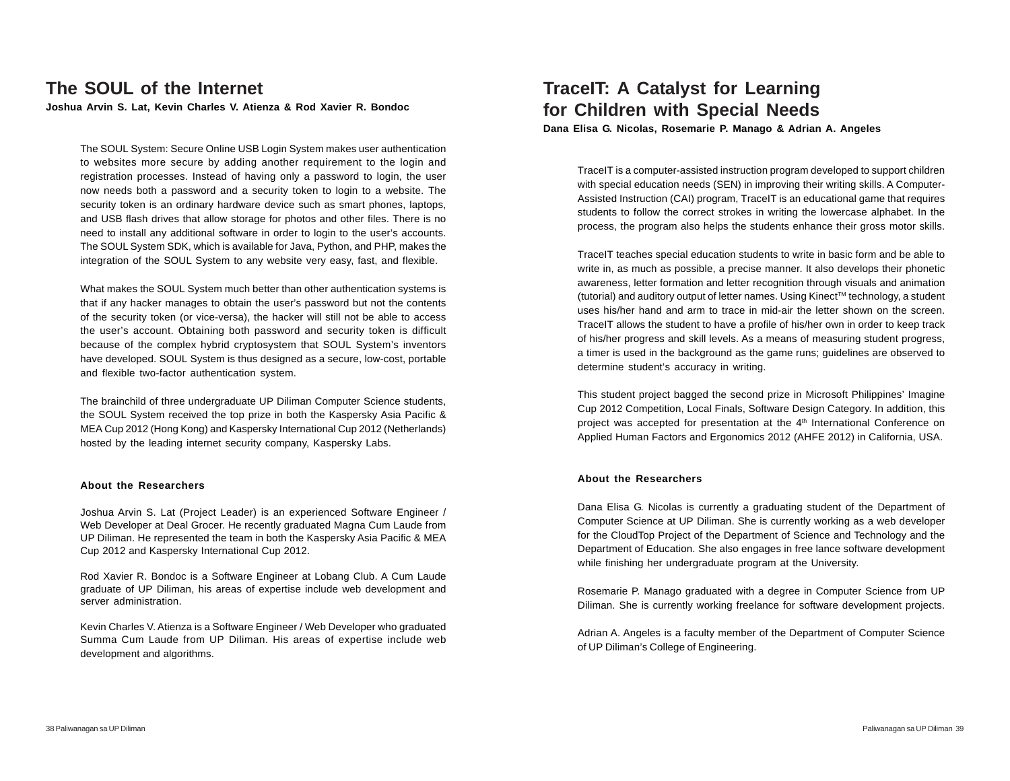# **The SOUL of the Internet**

**Joshua Arvin S. Lat, Kevin Charles V. Atienza & Rod Xavier R. Bondoc**

The SOUL System: Secure Online USB Login System makes user authentication to websites more secure by adding another requirement to the login and registration processes. Instead of having only a password to login, the user now needs both a password and a security token to login to a website. The security token is an ordinary hardware device such as smart phones, laptops, and USB flash drives that allow storage for photos and other files. There is no need to install any additional software in order to login to the user's accounts. The SOUL System SDK, which is available for Java, Python, and PHP, makes the integration of the SOUL System to any website very easy, fast, and flexible.

What makes the SOUL System much better than other authentication systems is that if any hacker manages to obtain the user's password but not the contents of the security token (or vice-versa), the hacker will still not be able to access the user's account. Obtaining both password and security token is difficult because of the complex hybrid cryptosystem that SOUL System's inventors have developed. SOUL System is thus designed as a secure, low-cost, portable and flexible two-factor authentication system.

The brainchild of three undergraduate UP Diliman Computer Science students, the SOUL System received the top prize in both the Kaspersky Asia Pacific & MEA Cup 2012 (Hong Kong) and Kaspersky International Cup 2012 (Netherlands) hosted by the leading internet security company, Kaspersky Labs.

#### **About the Researchers**

Joshua Arvin S. Lat (Project Leader) is an experienced Software Engineer / Web Developer at Deal Grocer. He recently graduated Magna Cum Laude from UP Diliman. He represented the team in both the Kaspersky Asia Pacific & MEA Cup 2012 and Kaspersky International Cup 2012.

Rod Xavier R. Bondoc is a Software Engineer at Lobang Club. A Cum Laude graduate of UP Diliman, his areas of expertise include web development and server administration.

Kevin Charles V. Atienza is a Software Engineer / Web Developer who graduated Summa Cum Laude from UP Diliman. His areas of expertise include web development and algorithms.

### **TraceIT: A Catalyst for Learning for Children with Special Needs Dana Elisa G. Nicolas, Rosemarie P. Manago & Adrian A. Angeles**

TraceIT is a computer-assisted instruction program developed to support children with special education needs (SEN) in improving their writing skills. A Computer-Assisted Instruction (CAI) program, TraceIT is an educational game that requires students to follow the correct strokes in writing the lowercase alphabet. In the process, the program also helps the students enhance their gross motor skills.

TraceIT teaches special education students to write in basic form and be able to write in, as much as possible, a precise manner. It also develops their phonetic awareness, letter formation and letter recognition through visuals and animation (tutorial) and auditory output of letter names. Using KinectTM technology, a student uses his/her hand and arm to trace in mid-air the letter shown on the screen. TraceIT allows the student to have a profile of his/her own in order to keep track of his/her progress and skill levels. As a means of measuring student progress, a timer is used in the background as the game runs; guidelines are observed to determine student's accuracy in writing.

This student project bagged the second prize in Microsoft Philippines' Imagine Cup 2012 Competition, Local Finals, Software Design Category. In addition, this project was accepted for presentation at the 4<sup>th</sup> International Conference on Applied Human Factors and Ergonomics 2012 (AHFE 2012) in California, USA.

#### **About the Researchers**

Dana Elisa G. Nicolas is currently a graduating student of the Department of Computer Science at UP Diliman. She is currently working as a web developer for the CloudTop Project of the Department of Science and Technology and the Department of Education. She also engages in free lance software development while finishing her undergraduate program at the University.

Rosemarie P. Manago graduated with a degree in Computer Science from UP Diliman. She is currently working freelance for software development projects.

Adrian A. Angeles is a faculty member of the Department of Computer Science of UP Diliman's College of Engineering.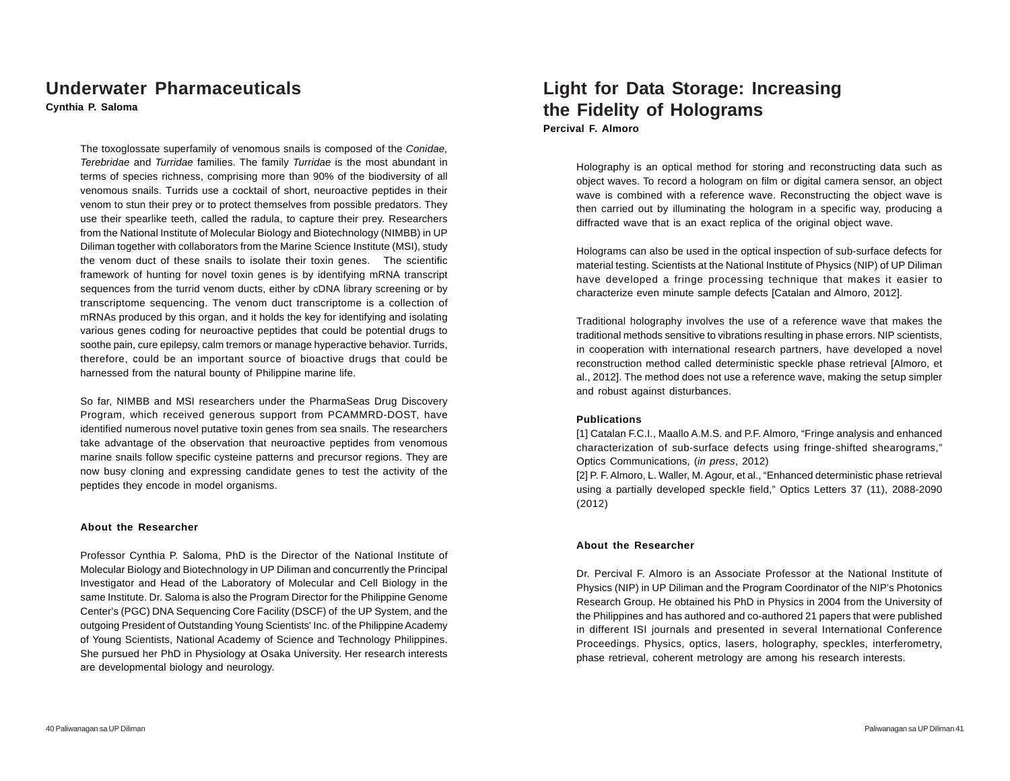### **Underwater Pharmaceuticals**

**Cynthia P. Saloma**

The toxoglossate superfamily of venomous snails is composed of the *Conidae, Terebridae* and *Turridae* families. The family *Turridae* is the most abundant in terms of species richness, comprising more than 90% of the biodiversity of all venomous snails. Turrids use a cocktail of short, neuroactive peptides in their venom to stun their prey or to protect themselves from possible predators. They use their spearlike teeth, called the radula, to capture their prey. Researchers from the National Institute of Molecular Biology and Biotechnology (NIMBB) in UP Diliman together with collaborators from the Marine Science Institute (MSI), study the venom duct of these snails to isolate their toxin genes. The scientific framework of hunting for novel toxin genes is by identifying mRNA transcript sequences from the turrid venom ducts, either by cDNA library screening or by transcriptome sequencing. The venom duct transcriptome is a collection of mRNAs produced by this organ, and it holds the key for identifying and isolating various genes coding for neuroactive peptides that could be potential drugs to soothe pain, cure epilepsy, calm tremors or manage hyperactive behavior. Turrids, therefore, could be an important source of bioactive drugs that could be harnessed from the natural bounty of Philippine marine life.

So far, NIMBB and MSI researchers under the PharmaSeas Drug Discovery Program, which received generous support from PCAMMRD-DOST, have identified numerous novel putative toxin genes from sea snails. The researchers take advantage of the observation that neuroactive peptides from venomous marine snails follow specific cysteine patterns and precursor regions. They are now busy cloning and expressing candidate genes to test the activity of the peptides they encode in model organisms.

#### **About the Researcher**

Professor Cynthia P. Saloma, PhD is the Director of the National Institute of Molecular Biology and Biotechnology in UP Diliman and concurrently the Principal Investigator and Head of the Laboratory of Molecular and Cell Biology in the same Institute. Dr. Saloma is also the Program Director for the Philippine Genome Center's (PGC) DNA Sequencing Core Facility (DSCF) of the UP System, and the outgoing President of Outstanding Young Scientists' Inc. of the Philippine Academy of Young Scientists, National Academy of Science and Technology Philippines. She pursued her PhD in Physiology at Osaka University. Her research interests are developmental biology and neurology.

### **Light for Data Storage: Increasing the Fidelity of Holograms Percival F. Almoro**

Holography is an optical method for storing and reconstructing data such as object waves. To record a hologram on film or digital camera sensor, an object wave is combined with a reference wave. Reconstructing the object wave is then carried out by illuminating the hologram in a specific way, producing a diffracted wave that is an exact replica of the original object wave.

Holograms can also be used in the optical inspection of sub-surface defects for material testing. Scientists at the National Institute of Physics (NIP) of UP Diliman have developed a fringe processing technique that makes it easier to characterize even minute sample defects [Catalan and Almoro, 2012].

Traditional holography involves the use of a reference wave that makes the traditional methods sensitive to vibrations resulting in phase errors. NIP scientists, in cooperation with international research partners, have developed a novel reconstruction method called deterministic speckle phase retrieval [Almoro, et al., 2012]. The method does not use a reference wave, making the setup simpler and robust against disturbances.

#### **Publications**

[1] Catalan F.C.I., Maallo A.M.S. and P.F. Almoro, "Fringe analysis and enhanced characterization of sub-surface defects using fringe-shifted shearograms," Optics Communications, (*in press*, 2012)

[2] P. F. Almoro, L. Waller, M. Agour, et al., "Enhanced deterministic phase retrieval using a partially developed speckle field," Optics Letters 37 (11), 2088-2090 (2012)

#### **About the Researcher**

Dr. Percival F. Almoro is an Associate Professor at the National Institute of Physics (NIP) in UP Diliman and the Program Coordinator of the NIP's Photonics Research Group. He obtained his PhD in Physics in 2004 from the University of the Philippines and has authored and co-authored 21 papers that were published in different ISI journals and presented in several International Conference Proceedings. Physics, optics, lasers, holography, speckles, interferometry, phase retrieval, coherent metrology are among his research interests.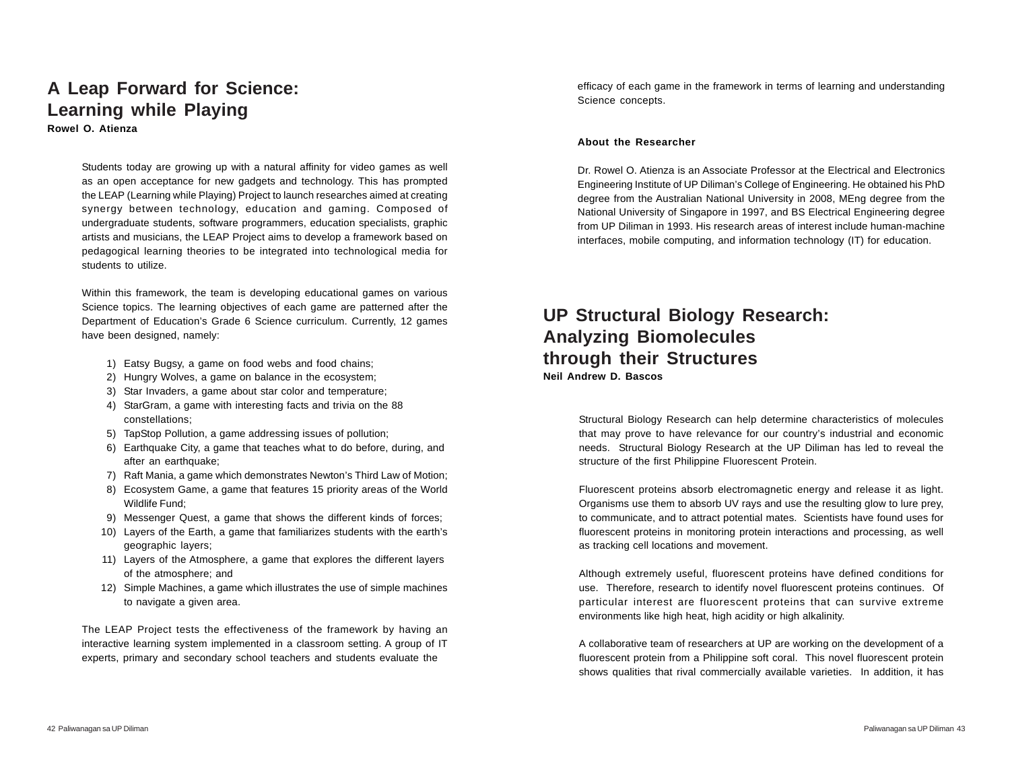### **A Leap Forward for Science: Learning while Playing Rowel O. Atienza**

Students today are growing up with a natural affinity for video games as well as an open acceptance for new gadgets and technology. This has prompted the LEAP (Learning while Playing) Project to launch researches aimed at creating synergy between technology, education and gaming. Composed of undergraduate students, software programmers, education specialists, graphic artists and musicians, the LEAP Project aims to develop a framework based on pedagogical learning theories to be integrated into technological media for students to utilize.

Within this framework, the team is developing educational games on various Science topics. The learning objectives of each game are patterned after the Department of Education's Grade 6 Science curriculum. Currently, 12 games have been designed, namely:

- 1) Eatsy Bugsy, a game on food webs and food chains;
- 2) Hungry Wolves, a game on balance in the ecosystem;
- 3) Star Invaders, a game about star color and temperature;
- 4) StarGram, a game with interesting facts and trivia on the 88 constellations;
- 5) TapStop Pollution, a game addressing issues of pollution;
- 6) Earthquake City, a game that teaches what to do before, during, and after an earthquake;
- 7) Raft Mania, a game which demonstrates Newton's Third Law of Motion;
- 8) Ecosystem Game, a game that features 15 priority areas of the World Wildlife Fund;
- 9) Messenger Quest, a game that shows the different kinds of forces;
- 10) Layers of the Earth, a game that familiarizes students with the earth's geographic layers;
- 11) Layers of the Atmosphere, a game that explores the different layers of the atmosphere; and
- 12) Simple Machines, a game which illustrates the use of simple machines to navigate a given area.

The LEAP Project tests the effectiveness of the framework by having an interactive learning system implemented in a classroom setting. A group of IT experts, primary and secondary school teachers and students evaluate the

efficacy of each game in the framework in terms of learning and understanding Science concepts.

#### **About the Researcher**

Dr. Rowel O. Atienza is an Associate Professor at the Electrical and Electronics Engineering Institute of UP Diliman's College of Engineering. He obtained his PhD degree from the Australian National University in 2008, MEng degree from the National University of Singapore in 1997, and BS Electrical Engineering degree from UP Diliman in 1993. His research areas of interest include human-machine interfaces, mobile computing, and information technology (IT) for education.

### **UP Structural Biology Research: Analyzing Biomolecules through their Structures Neil Andrew D. Bascos**

Structural Biology Research can help determine characteristics of molecules that may prove to have relevance for our country's industrial and economic needs. Structural Biology Research at the UP Diliman has led to reveal the structure of the first Philippine Fluorescent Protein.

Fluorescent proteins absorb electromagnetic energy and release it as light. Organisms use them to absorb UV rays and use the resulting glow to lure prey, to communicate, and to attract potential mates. Scientists have found uses for fluorescent proteins in monitoring protein interactions and processing, as well as tracking cell locations and movement.

Although extremely useful, fluorescent proteins have defined conditions for use. Therefore, research to identify novel fluorescent proteins continues. Of particular interest are fluorescent proteins that can survive extreme environments like high heat, high acidity or high alkalinity.

A collaborative team of researchers at UP are working on the development of a fluorescent protein from a Philippine soft coral. This novel fluorescent protein shows qualities that rival commercially available varieties. In addition, it has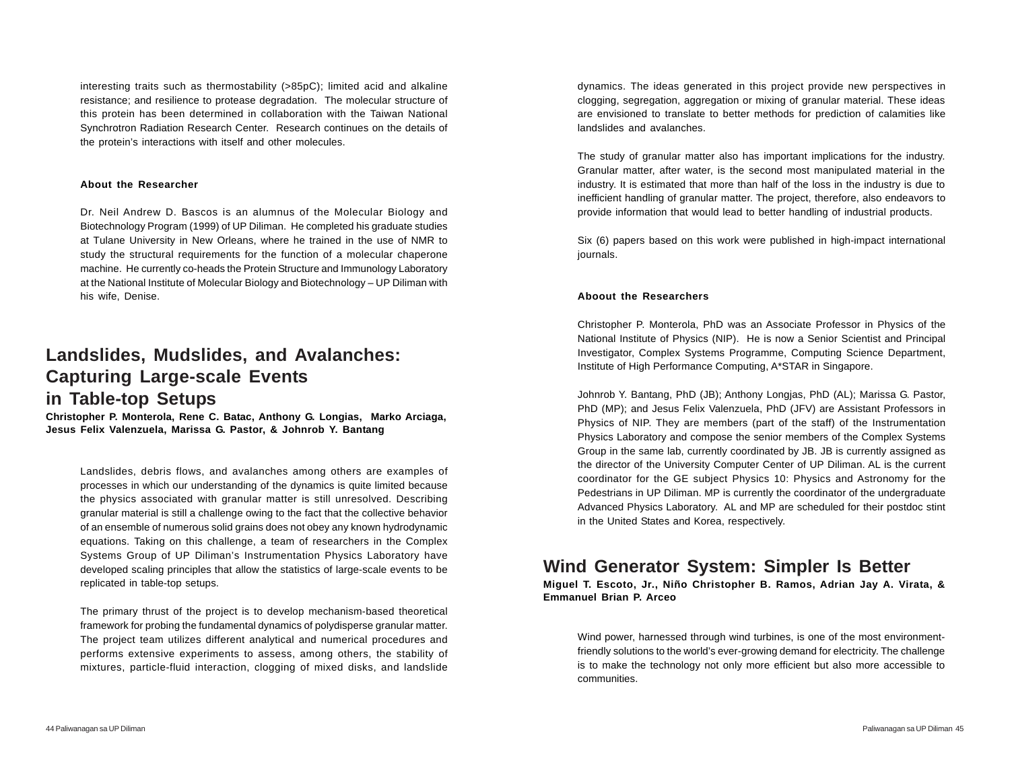interesting traits such as thermostability (>85pC); limited acid and alkaline resistance; and resilience to protease degradation. The molecular structure of this protein has been determined in collaboration with the Taiwan National Synchrotron Radiation Research Center. Research continues on the details of the protein's interactions with itself and other molecules.

#### **About the Researcher**

Dr. Neil Andrew D. Bascos is an alumnus of the Molecular Biology and Biotechnology Program (1999) of UP Diliman. He completed his graduate studies at Tulane University in New Orleans, where he trained in the use of NMR to study the structural requirements for the function of a molecular chaperone machine. He currently co-heads the Protein Structure and Immunology Laboratory at the National Institute of Molecular Biology and Biotechnology – UP Diliman with his wife, Denise.

## **Landslides, Mudslides, and Avalanches: Capturing Large-scale Events in Table-top Setups**

**Christopher P. Monterola, Rene C. Batac, Anthony G. Longias, Marko Arciaga, Jesus Felix Valenzuela, Marissa G. Pastor, & Johnrob Y. Bantang**

Landslides, debris flows, and avalanches among others are examples of processes in which our understanding of the dynamics is quite limited because the physics associated with granular matter is still unresolved. Describing granular material is still a challenge owing to the fact that the collective behavior of an ensemble of numerous solid grains does not obey any known hydrodynamic equations. Taking on this challenge, a team of researchers in the Complex Systems Group of UP Diliman's Instrumentation Physics Laboratory have developed scaling principles that allow the statistics of large-scale events to be replicated in table-top setups.

The primary thrust of the project is to develop mechanism-based theoretical framework for probing the fundamental dynamics of polydisperse granular matter. The project team utilizes different analytical and numerical procedures and performs extensive experiments to assess, among others, the stability of mixtures, particle-fluid interaction, clogging of mixed disks, and landslide

dynamics. The ideas generated in this project provide new perspectives in clogging, segregation, aggregation or mixing of granular material. These ideas are envisioned to translate to better methods for prediction of calamities like landslides and avalanches.

The study of granular matter also has important implications for the industry. Granular matter, after water, is the second most manipulated material in the industry. It is estimated that more than half of the loss in the industry is due to inefficient handling of granular matter. The project, therefore, also endeavors to provide information that would lead to better handling of industrial products.

Six (6) papers based on this work were published in high-impact international journals.

#### **Aboout the Researchers**

Christopher P. Monterola, PhD was an Associate Professor in Physics of the National Institute of Physics (NIP). He is now a Senior Scientist and Principal Investigator, Complex Systems Programme, Computing Science Department, Institute of High Performance Computing, A\*STAR in Singapore.

Johnrob Y. Bantang, PhD (JB); Anthony Longjas, PhD (AL); Marissa G. Pastor, PhD (MP); and Jesus Felix Valenzuela, PhD (JFV) are Assistant Professors in Physics of NIP. They are members (part of the staff) of the Instrumentation Physics Laboratory and compose the senior members of the Complex Systems Group in the same lab, currently coordinated by JB. JB is currently assigned as the director of the University Computer Center of UP Diliman. AL is the current coordinator for the GE subject Physics 10: Physics and Astronomy for the Pedestrians in UP Diliman. MP is currently the coordinator of the undergraduate Advanced Physics Laboratory. AL and MP are scheduled for their postdoc stint in the United States and Korea, respectively.

### **Wind Generator System: Simpler Is Better**

**Miguel T. Escoto, Jr., Niño Christopher B. Ramos, Adrian Jay A. Virata, & Emmanuel Brian P. Arceo**

Wind power, harnessed through wind turbines, is one of the most environmentfriendly solutions to the world's ever-growing demand for electricity. The challenge is to make the technology not only more efficient but also more accessible to communities.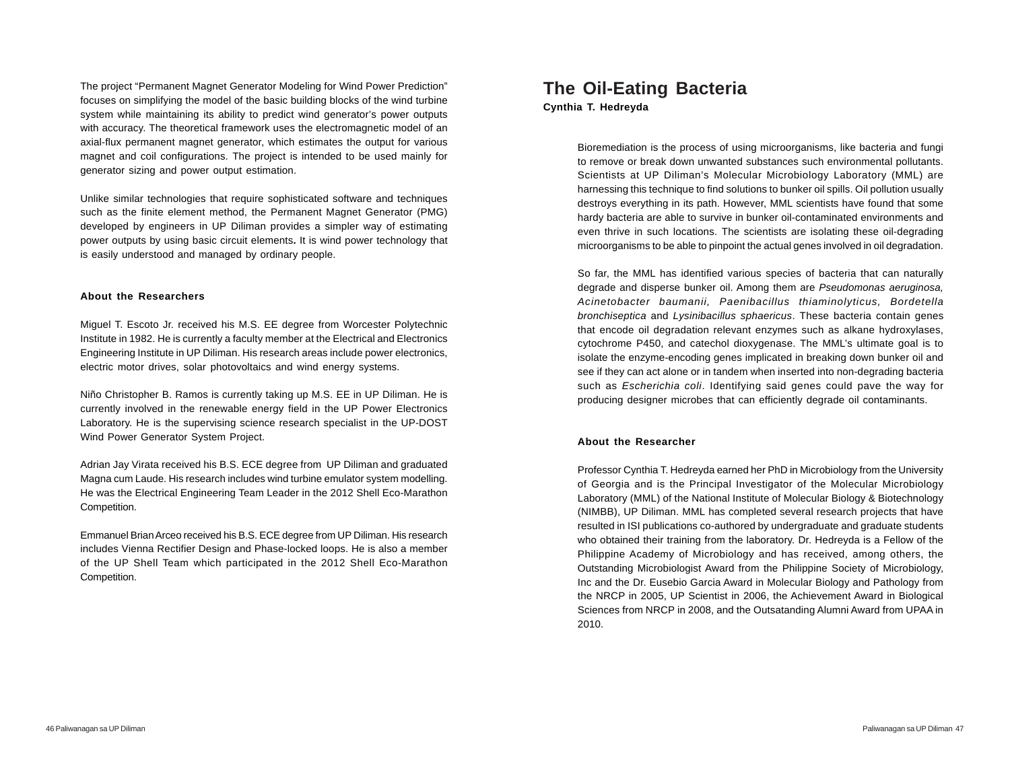The project "Permanent Magnet Generator Modeling for Wind Power Prediction" focuses on simplifying the model of the basic building blocks of the wind turbine system while maintaining its ability to predict wind generator's power outputs with accuracy. The theoretical framework uses the electromagnetic model of an axial-flux permanent magnet generator, which estimates the output for various magnet and coil configurations. The project is intended to be used mainly for generator sizing and power output estimation.

Unlike similar technologies that require sophisticated software and techniques such as the finite element method, the Permanent Magnet Generator (PMG) developed by engineers in UP Diliman provides a simpler way of estimating power outputs by using basic circuit elements**.** It is wind power technology that is easily understood and managed by ordinary people.

#### **About the Researchers**

Miguel T. Escoto Jr. received his M.S. EE degree from Worcester Polytechnic Institute in 1982. He is currently a faculty member at the Electrical and Electronics Engineering Institute in UP Diliman. His research areas include power electronics, electric motor drives, solar photovoltaics and wind energy systems.

Niño Christopher B. Ramos is currently taking up M.S. EE in UP Diliman. He is currently involved in the renewable energy field in the UP Power Electronics Laboratory. He is the supervising science research specialist in the UP-DOST Wind Power Generator System Project.

Adrian Jay Virata received his B.S. ECE degree from UP Diliman and graduated Magna cum Laude. His research includes wind turbine emulator system modelling. He was the Electrical Engineering Team Leader in the 2012 Shell Eco-Marathon Competition.

Emmanuel Brian Arceo received his B.S. ECE degree from UP Diliman. His research includes Vienna Rectifier Design and Phase-locked loops. He is also a member of the UP Shell Team which participated in the 2012 Shell Eco-Marathon Competition.

### **The Oil-Eating Bacteria**

**Cynthia T. Hedreyda**

Bioremediation is the process of using microorganisms, like bacteria and fungi to remove or break down unwanted substances such environmental pollutants. Scientists at UP Diliman's Molecular Microbiology Laboratory (MML) are harnessing this technique to find solutions to bunker oil spills. Oil pollution usually destroys everything in its path. However, MML scientists have found that some hardy bacteria are able to survive in bunker oil-contaminated environments and even thrive in such locations. The scientists are isolating these oil-degrading microorganisms to be able to pinpoint the actual genes involved in oil degradation.

So far, the MML has identified various species of bacteria that can naturally degrade and disperse bunker oil. Among them are *Pseudomonas aeruginosa, Acinetobacter baumanii, Paenibacillus thiaminolyticus, Bordetella bronchiseptica* and *Lysinibacillus sphaericus*. These bacteria contain genes that encode oil degradation relevant enzymes such as alkane hydroxylases, cytochrome P450, and catechol dioxygenase. The MML's ultimate goal is to isolate the enzyme-encoding genes implicated in breaking down bunker oil and see if they can act alone or in tandem when inserted into non-degrading bacteria such as *Escherichia coli*. Identifying said genes could pave the way for producing designer microbes that can efficiently degrade oil contaminants.

#### **About the Researcher**

Professor Cynthia T. Hedreyda earned her PhD in Microbiology from the University of Georgia and is the Principal Investigator of the Molecular Microbiology Laboratory (MML) of the National Institute of Molecular Biology & Biotechnology (NIMBB), UP Diliman. MML has completed several research projects that have resulted in ISI publications co-authored by undergraduate and graduate students who obtained their training from the laboratory. Dr. Hedreyda is a Fellow of the Philippine Academy of Microbiology and has received, among others, the Outstanding Microbiologist Award from the Philippine Society of Microbiology, Inc and the Dr. Eusebio Garcia Award in Molecular Biology and Pathology from the NRCP in 2005, UP Scientist in 2006, the Achievement Award in Biological Sciences from NRCP in 2008, and the Outsatanding Alumni Award from UPAA in 2010.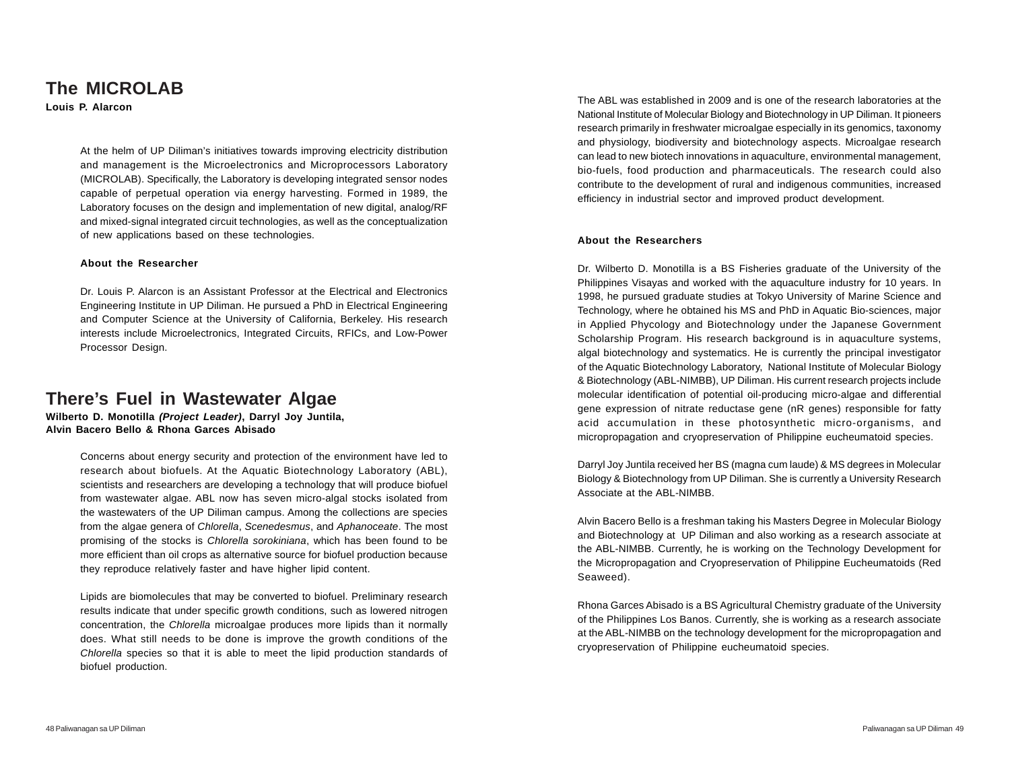### **The MICROLAB**

**Louis P. Alarcon**

At the helm of UP Diliman's initiatives towards improving electricity distribution and management is the Microelectronics and Microprocessors Laboratory (MICROLAB). Specifically, the Laboratory is developing integrated sensor nodes capable of perpetual operation via energy harvesting. Formed in 1989, the Laboratory focuses on the design and implementation of new digital, analog/RF and mixed-signal integrated circuit technologies, as well as the conceptualization of new applications based on these technologies.

#### **About the Researcher**

Dr. Louis P. Alarcon is an Assistant Professor at the Electrical and Electronics Engineering Institute in UP Diliman. He pursued a PhD in Electrical Engineering and Computer Science at the University of California, Berkeley. His research interests include Microelectronics, Integrated Circuits, RFICs, and Low-Power Processor Design.

### **There's Fuel in Wastewater Algae**

**Wilberto D. Monotilla** *(Project Leader)***, Darryl Joy Juntila, Alvin Bacero Bello & Rhona Garces Abisado**

> Concerns about energy security and protection of the environment have led to research about biofuels. At the Aquatic Biotechnology Laboratory (ABL), scientists and researchers are developing a technology that will produce biofuel from wastewater algae. ABL now has seven micro-algal stocks isolated from the wastewaters of the UP Diliman campus. Among the collections are species from the algae genera of *Chlorella*, *Scenedesmus*, and *Aphanoceate*. The most promising of the stocks is *Chlorella sorokiniana*, which has been found to be more efficient than oil crops as alternative source for biofuel production because they reproduce relatively faster and have higher lipid content.

> Lipids are biomolecules that may be converted to biofuel. Preliminary research results indicate that under specific growth conditions, such as lowered nitrogen concentration, the *Chlorella* microalgae produces more lipids than it normally does. What still needs to be done is improve the growth conditions of the *Chlorella* species so that it is able to meet the lipid production standards of biofuel production.

The ABL was established in 2009 and is one of the research laboratories at the National Institute of Molecular Biology and Biotechnology in UP Diliman. It pioneers research primarily in freshwater microalgae especially in its genomics, taxonomy and physiology, biodiversity and biotechnology aspects. Microalgae research can lead to new biotech innovations in aquaculture, environmental management, bio-fuels, food production and pharmaceuticals. The research could also contribute to the development of rural and indigenous communities, increased efficiency in industrial sector and improved product development.

#### **About the Researchers**

Dr. Wilberto D. Monotilla is a BS Fisheries graduate of the University of the Philippines Visayas and worked with the aquaculture industry for 10 years. In 1998, he pursued graduate studies at Tokyo University of Marine Science and Technology, where he obtained his MS and PhD in Aquatic Bio-sciences, major in Applied Phycology and Biotechnology under the Japanese Government Scholarship Program. His research background is in aquaculture systems, algal biotechnology and systematics. He is currently the principal investigator of the Aquatic Biotechnology Laboratory, National Institute of Molecular Biology & Biotechnology (ABL-NIMBB), UP Diliman. His current research projects include molecular identification of potential oil-producing micro-algae and differential gene expression of nitrate reductase gene (nR genes) responsible for fatty acid accumulation in these photosynthetic micro-organisms, and micropropagation and cryopreservation of Philippine eucheumatoid species.

Darryl Joy Juntila received her BS (magna cum laude) & MS degrees in Molecular Biology & Biotechnology from UP Diliman. She is currently a University Research Associate at the ABL-NIMBB.

Alvin Bacero Bello is a freshman taking his Masters Degree in Molecular Biology and Biotechnology at UP Diliman and also working as a research associate at the ABL-NIMBB. Currently, he is working on the Technology Development for the Micropropagation and Cryopreservation of Philippine Eucheumatoids (Red Seaweed).

Rhona Garces Abisado is a BS Agricultural Chemistry graduate of the University of the Philippines Los Banos. Currently, she is working as a research associate at the ABL-NIMBB on the technology development for the micropropagation and cryopreservation of Philippine eucheumatoid species.